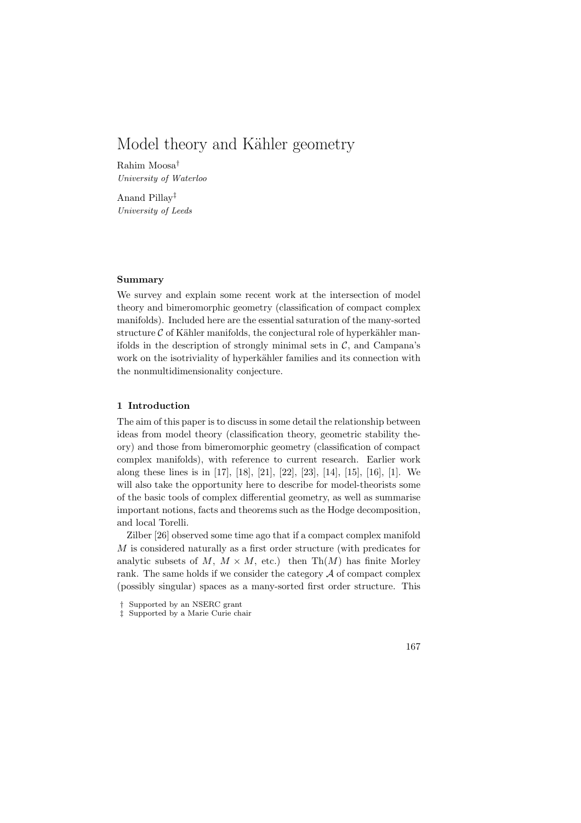# Model theory and Kähler geometry

Rahim Moosa† University of Waterloo

Anand Pillay‡ University of Leeds

## Summary

We survey and explain some recent work at the intersection of model theory and bimeromorphic geometry (classification of compact complex manifolds). Included here are the essential saturation of the many-sorted structure  $C$  of Kähler manifolds, the conjectural role of hyperkähler manifolds in the description of strongly minimal sets in  $\mathcal{C}$ , and Campana's work on the isotriviality of hyperkähler families and its connection with the nonmultidimensionality conjecture.

## 1 Introduction

The aim of this paper is to discuss in some detail the relationship between ideas from model theory (classification theory, geometric stability theory) and those from bimeromorphic geometry (classification of compact complex manifolds), with reference to current research. Earlier work along these lines is in [17], [18], [21], [22], [23], [14], [15], [16], [1]. We will also take the opportunity here to describe for model-theorists some of the basic tools of complex differential geometry, as well as summarise important notions, facts and theorems such as the Hodge decomposition, and local Torelli.

Zilber [26] observed some time ago that if a compact complex manifold M is considered naturally as a first order structure (with predicates for analytic subsets of  $M, M \times M$ , etc.) then Th $(M)$  has finite Morley rank. The same holds if we consider the category  $A$  of compact complex (possibly singular) spaces as a many-sorted first order structure. This



<sup>†</sup> Supported by an NSERC grant

<sup>‡</sup> Supported by a Marie Curie chair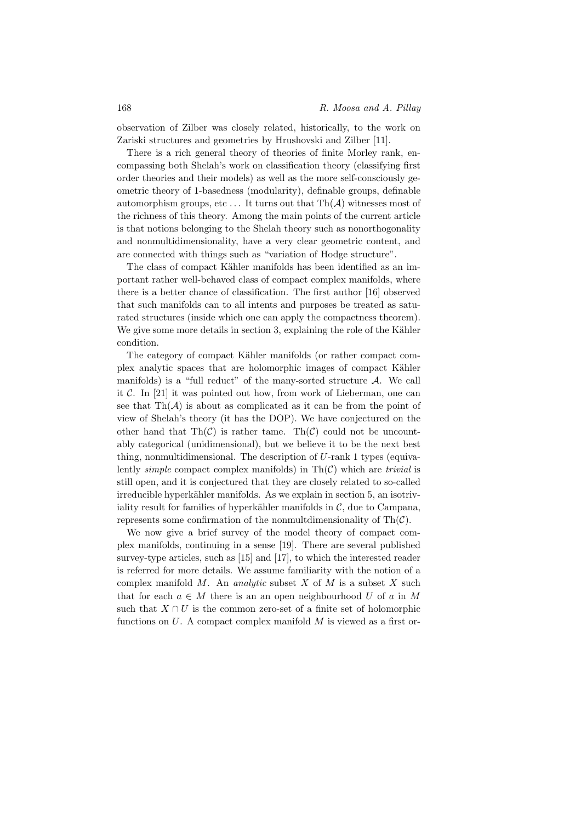observation of Zilber was closely related, historically, to the work on Zariski structures and geometries by Hrushovski and Zilber [11].

There is a rich general theory of theories of finite Morley rank, encompassing both Shelah's work on classification theory (classifying first order theories and their models) as well as the more self-consciously geometric theory of 1-basedness (modularity), definable groups, definable automorphism groups, etc... It turns out that  $\text{Th}(\mathcal{A})$  witnesses most of the richness of this theory. Among the main points of the current article is that notions belonging to the Shelah theory such as nonorthogonality and nonmultidimensionality, have a very clear geometric content, and are connected with things such as "variation of Hodge structure".

The class of compact Kähler manifolds has been identified as an important rather well-behaved class of compact complex manifolds, where there is a better chance of classification. The first author [16] observed that such manifolds can to all intents and purposes be treated as saturated structures (inside which one can apply the compactness theorem). We give some more details in section 3, explaining the role of the Kähler condition.

The category of compact Kähler manifolds (or rather compact complex analytic spaces that are holomorphic images of compact Kähler manifolds) is a "full reduct" of the many-sorted structure  $A$ . We call it  $\mathcal{C}$ . In [21] it was pointed out how, from work of Lieberman, one can see that  $\text{Th}(\mathcal{A})$  is about as complicated as it can be from the point of view of Shelah's theory (it has the DOP). We have conjectured on the other hand that  $\text{Th}(\mathcal{C})$  is rather tame.  $\text{Th}(\mathcal{C})$  could not be uncountably categorical (unidimensional), but we believe it to be the next best thing, nonmultidimensional. The description of  $U$ -rank 1 types (equivalently *simple* compact complex manifolds) in  $\text{Th}(\mathcal{C})$  which are *trivial* is still open, and it is conjectured that they are closely related to so-called irreducible hyperkähler manifolds. As we explain in section 5, an isotriviality result for families of hyperkähler manifolds in  $\mathcal{C}$ , due to Campana, represents some confirmation of the nonmultdimensionality of  $\text{Th}(\mathcal{C})$ .

We now give a brief survey of the model theory of compact complex manifolds, continuing in a sense [19]. There are several published survey-type articles, such as [15] and [17], to which the interested reader is referred for more details. We assume familiarity with the notion of a complex manifold  $M$ . An *analytic* subset  $X$  of  $M$  is a subset  $X$  such that for each  $a \in M$  there is an an open neighbourhood U of a in M such that  $X \cap U$  is the common zero-set of a finite set of holomorphic functions on  $U$ . A compact complex manifold  $M$  is viewed as a first or-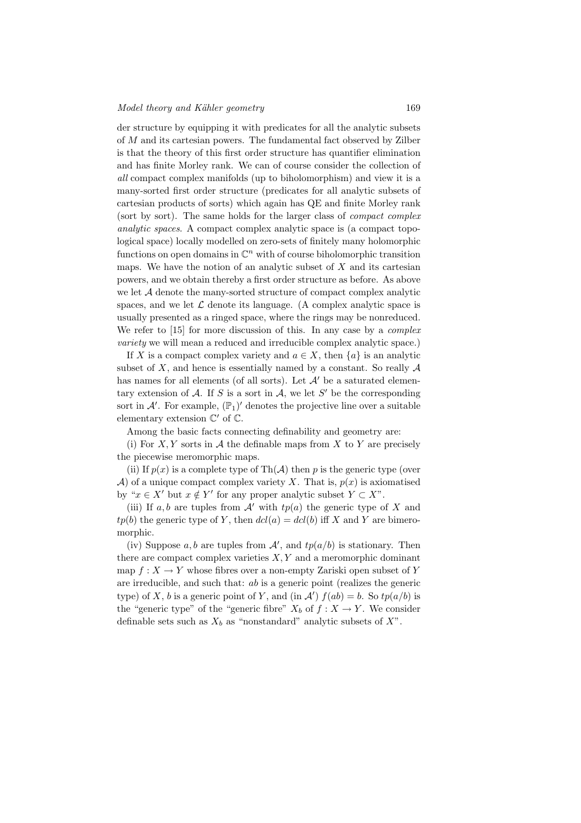der structure by equipping it with predicates for all the analytic subsets of M and its cartesian powers. The fundamental fact observed by Zilber is that the theory of this first order structure has quantifier elimination and has finite Morley rank. We can of course consider the collection of all compact complex manifolds (up to biholomorphism) and view it is a many-sorted first order structure (predicates for all analytic subsets of cartesian products of sorts) which again has QE and finite Morley rank (sort by sort). The same holds for the larger class of compact complex analytic spaces. A compact complex analytic space is (a compact topological space) locally modelled on zero-sets of finitely many holomorphic functions on open domains in  $\mathbb{C}^n$  with of course biholomorphic transition maps. We have the notion of an analytic subset of  $X$  and its cartesian powers, and we obtain thereby a first order structure as before. As above we let A denote the many-sorted structure of compact complex analytic spaces, and we let  $\mathcal L$  denote its language. (A complex analytic space is usually presented as a ringed space, where the rings may be nonreduced. We refer to [15] for more discussion of this. In any case by a *complex* variety we will mean a reduced and irreducible complex analytic space.)

If X is a compact complex variety and  $a \in X$ , then  $\{a\}$  is an analytic subset of  $X$ , and hence is essentially named by a constant. So really  $A$ has names for all elements (of all sorts). Let  $\mathcal{A}'$  be a saturated elementary extension of A. If S is a sort in A, we let S' be the corresponding sort in  $\mathcal{A}'$ . For example,  $(\mathbb{P}_1)'$  denotes the projective line over a suitable elementary extension  $\mathbb{C}'$  of  $\mathbb{C}$ .

Among the basic facts connecting definability and geometry are:

(i) For  $X, Y$  sorts in  $A$  the definable maps from  $X$  to  $Y$  are precisely the piecewise meromorphic maps.

(ii) If  $p(x)$  is a complete type of Th( $A$ ) then p is the generic type (over A) of a unique compact complex variety X. That is,  $p(x)$  is axiomatised by " $x \in X'$  but  $x \notin Y'$  for any proper analytic subset  $Y \subset X$ ".

(iii) If a, b are tuples from  $A'$  with  $tp(a)$  the generic type of X and  $tp(b)$  the generic type of Y, then  $dcl(a) = dcl(b)$  iff X and Y are bimeromorphic.

(iv) Suppose a, b are tuples from  $A'$ , and  $tp(a/b)$  is stationary. Then there are compact complex varieties  $X, Y$  and a meromorphic dominant map  $f: X \to Y$  whose fibres over a non-empty Zariski open subset of Y are irreducible, and such that: ab is a generic point (realizes the generic type) of X, b is a generic point of Y, and (in  $\mathcal{A}'$ )  $f(ab) = b$ . So  $tp(a/b)$  is the "generic type" of the "generic fibre"  $X_b$  of  $f : X \to Y$ . We consider definable sets such as  $X_b$  as "nonstandard" analytic subsets of  $X$ ".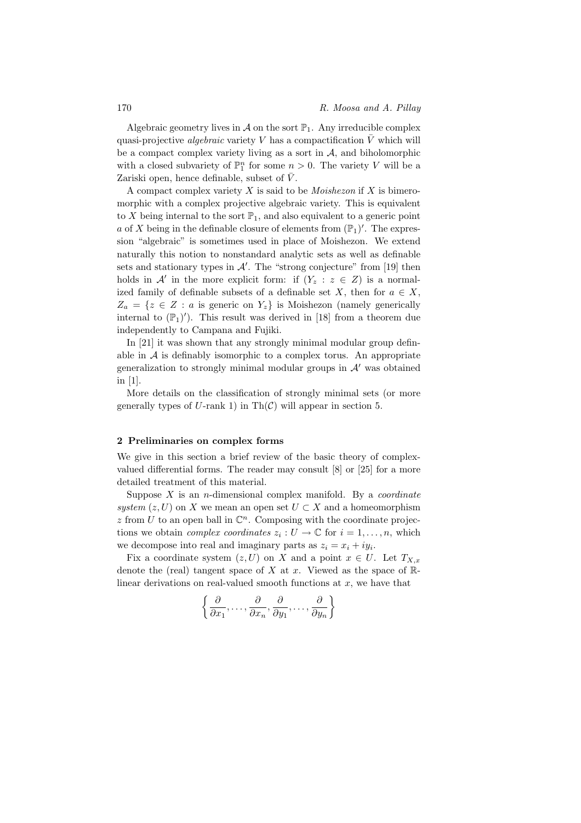Algebraic geometry lives in  $\mathcal A$  on the sort  $\mathbb P_1$ . Any irreducible complex quasi-projective *algebraic* variety V has a compactification  $\overline{V}$  which will be a compact complex variety living as a sort in  $A$ , and biholomorphic with a closed subvariety of  $\mathbb{P}^n_1$  for some  $n > 0$ . The variety V will be a Zariski open, hence definable, subset of  $\bar{V}$ .

A compact complex variety  $X$  is said to be *Moishezon* if  $X$  is bimeromorphic with a complex projective algebraic variety. This is equivalent to X being internal to the sort  $\mathbb{P}_1$ , and also equivalent to a generic point a of X being in the definable closure of elements from  $(\mathbb{P}_1)'$ . The expression "algebraic" is sometimes used in place of Moishezon. We extend naturally this notion to nonstandard analytic sets as well as definable sets and stationary types in  $\mathcal{A}'$ . The "strong conjecture" from [19] then holds in  $\mathcal{A}'$  in the more explicit form: if  $(Y_z : z \in Z)$  is a normalized family of definable subsets of a definable set X, then for  $a \in X$ ,  $Z_a = \{z \in Z : a \text{ is generic on } Y_z\}$  is Moishezon (namely generically internal to  $(\mathbb{P}_1)')$ . This result was derived in [18] from a theorem due independently to Campana and Fujiki.

In [21] it was shown that any strongly minimal modular group definable in  $A$  is definably isomorphic to a complex torus. An appropriate generalization to strongly minimal modular groups in  $A'$  was obtained in [1].

More details on the classification of strongly minimal sets (or more generally types of U-rank 1) in  $\text{Th}(\mathcal{C})$  will appear in section 5.

#### 2 Preliminaries on complex forms

We give in this section a brief review of the basic theory of complexvalued differential forms. The reader may consult [8] or [25] for a more detailed treatment of this material.

Suppose  $X$  is an *n*-dimensional complex manifold. By a *coordinate* system  $(z, U)$  on X we mean an open set  $U \subset X$  and a homeomorphism  $z$  from U to an open ball in  $\mathbb{C}^n$ . Composing with the coordinate projections we obtain *complex coordinates*  $z_i: U \to \mathbb{C}$  for  $i = 1, ..., n$ , which we decompose into real and imaginary parts as  $z_i = x_i + iy_i$ .

Fix a coordinate system  $(z, U)$  on X and a point  $x \in U$ . Let  $T_{X,x}$ denote the (real) tangent space of X at x. Viewed as the space of  $\mathbb{R}$ linear derivations on real-valued smooth functions at  $x$ , we have that

$$
\left\{\frac{\partial}{\partial x_1},\ldots,\frac{\partial}{\partial x_n},\frac{\partial}{\partial y_1},\ldots,\frac{\partial}{\partial y_n}\right\}
$$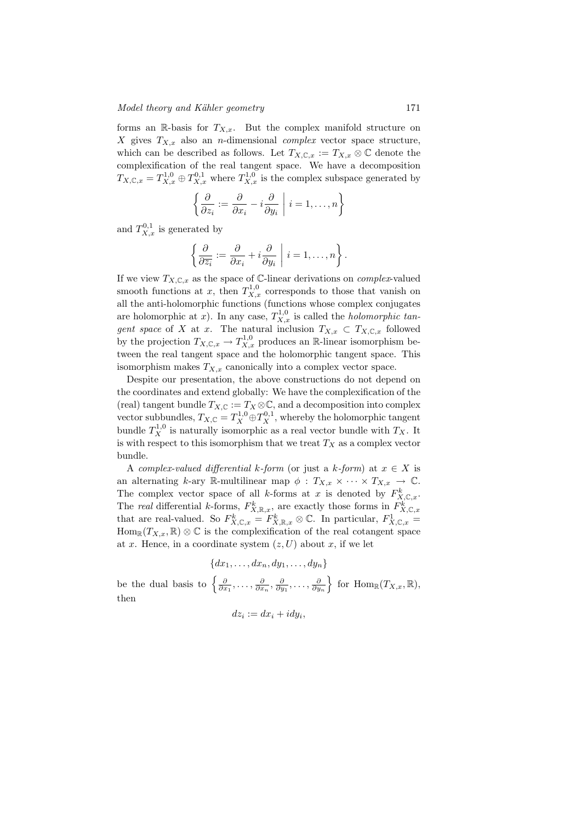forms an R-basis for  $T_{X,x}$ . But the complex manifold structure on X gives  $T_{X,x}$  also an *n*-dimensional *complex* vector space structure, which can be described as follows. Let  $T_{X,\mathbb{C},x} := T_{X,x} \otimes \mathbb{C}$  denote the complexification of the real tangent space. We have a decomposition  $T_{X,\mathbb{C},x} = T_{X,x}^{1,0} \oplus T_{X,x}^{0,1}$  where  $T_{X,x}^{1,0}$  is the complex subspace generated by

$$
\left\{\frac{\partial}{\partial z_i}:=\frac{\partial}{\partial x_i}-i\frac{\partial}{\partial y_i}\;\middle|\;i=1,\ldots,n\right\}
$$

and  $T_{X,x}^{0,1}$  is generated by

$$
\left\{\frac{\partial}{\partial \overline{z_i}}:=\frac{\partial}{\partial x_i}+i\frac{\partial}{\partial y_i}\;\middle|\; i=1,\ldots,n\right\}.
$$

If we view  $T_{X,\mathbb{C},x}$  as the space of C-linear derivations on *complex*-valued smooth functions at x, then  $T_{X,x}^{1,0}$  corresponds to those that vanish on all the anti-holomorphic functions (functions whose complex conjugates are holomorphic at x). In any case,  $T_{X,x}^{1,0}$  is called the *holomorphic tan*gent space of X at x. The natural inclusion  $T_{X,x} \subset T_{X,\mathbb{C},x}$  followed by the projection  $T_{X,\mathbb{C},x} \to T_{X,x}^{1,0}$  produces an R-linear isomorphism between the real tangent space and the holomorphic tangent space. This isomorphism makes  $T_{X,x}$  canonically into a complex vector space.

Despite our presentation, the above constructions do not depend on the coordinates and extend globally: We have the complexification of the (real) tangent bundle  $T_{X,\mathbb{C}} := T_X \otimes \mathbb{C}$ , and a decomposition into complex vector subbundles,  $T_{X,\mathbb{C}} = T_X^{1,0} \oplus T_X^{0,1}$ , whereby the holomorphic tangent bundle  $T_X^{1,0}$  is naturally isomorphic as a real vector bundle with  $T_X$ . It is with respect to this isomorphism that we treat  $T_X$  as a complex vector bundle.

A complex-valued differential k-form (or just a k-form) at  $x \in X$  is an alternating k-ary R-multilinear map  $\phi : T_{X,x} \times \cdots \times T_{X,x} \to \mathbb{C}$ . The complex vector space of all k-forms at x is denoted by  $F_{X,\mathbb{C},x}^k$ . The real differential k-forms,  $F_{X,\mathbb{R},x}^k$ , are exactly those forms in  $F_{X,\mathbb{C},x}^k$ that are real-valued. So  $F_{X,\mathbb{C},x}^k = F_{X,\mathbb{R},x}^k \otimes \mathbb{C}$ . In particular,  $F_{X,\mathbb{C},x}^1 =$  $\text{Hom}_{\mathbb{R}}(T_{X,x},\mathbb{R})\otimes\mathbb{C}$  is the complexification of the real cotangent space at x. Hence, in a coordinate system  $(z, U)$  about x, if we let

$$
\{dx_1, \dots, dx_n, dy_1, \dots, dy_n\}
$$
  
be the dual basis to  $\left\{\frac{\partial}{\partial x_1}, \dots, \frac{\partial}{\partial x_n}, \frac{\partial}{\partial y_1}, \dots, \frac{\partial}{\partial y_n}\right\}$  for  $\text{Hom}_{\mathbb{R}}(T_{X,x}, \mathbb{R}),$   
then

$$
dz_i := dx_i + i dy_i,
$$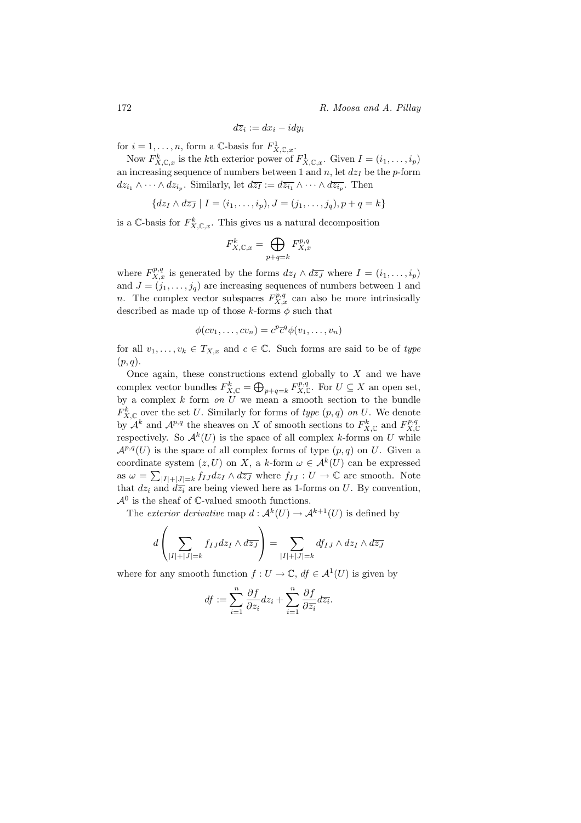172 R. Moosa and A. Pillay

$$
d\overline{z}_i := dx_i - i dy_i
$$

for  $i = 1, ..., n$ , form a C-basis for  $F^1_{X, \mathbb{C}, x}$ .

Now  $F_{X,\mathbb{C},x}^k$  is the kth exterior power of  $F_{X,\mathbb{C},x}^1$ . Given  $I = (i_1,\ldots,i_p)$ an increasing sequence of numbers between 1 and  $n$ , let  $dz_I$  be the p-form  $dz_{i_1} \wedge \cdots \wedge dz_{i_p}$ . Similarly, let  $d\overline{z_I} := d\overline{z_{i_1}} \wedge \cdots \wedge d\overline{z_{i_p}}$ . Then

$$
\{dz_I \wedge d\overline{z_J} \mid I = (i_1, \ldots, i_p), J = (j_1, \ldots, j_q), p + q = k\}
$$

is a C-basis for  $F_{X,\mathbb{C},x}^k$ . This gives us a natural decomposition

$$
F_{X,\mathbb{C},x}^k = \bigoplus_{p+q=k} F_{X,x}^{p,q}
$$

where  $F_{X,x}^{p,q}$  is generated by the forms  $dz_I \wedge d\overline{z_J}$  where  $I = (i_1, \ldots, i_p)$ and  $J = (j_1, \ldots, j_q)$  are increasing sequences of numbers between 1 and n. The complex vector subspaces  $F_{X,x}^{p,q}$  can also be more intrinsically described as made up of those k-forms  $\phi$  such that

$$
\phi(cv_1,\ldots,cv_n)=c^p\bar{c}^q\phi(v_1,\ldots,v_n)
$$

for all  $v_1, \ldots, v_k \in T_{X,x}$  and  $c \in \mathbb{C}$ . Such forms are said to be of type  $(p, q)$ .

Once again, these constructions extend globally to  $X$  and we have complex vector bundles  $F_{X,\mathbb{C}}^k = \bigoplus_{p+q=k} F_{X,\mathbb{C}}^{p,q}$ . For  $U \subseteq X$  an open set, by a complex  $k$  form on  $\hat{U}$  we mean a smooth section to the bundle  $F_{X,\mathbb{C}}^k$  over the set U. Similarly for forms of type  $(p,q)$  on U. We denote by  $\mathcal{A}^k$  and  $\mathcal{A}^{p,q}$  the sheaves on X of smooth sections to  $F_{X,\mathbb{C}}^k$  and  $F_{X,\mathbb{C}}^{p,q}$ respectively. So  $\mathcal{A}^k(U)$  is the space of all complex k-forms on U while  $\mathcal{A}^{p,q}(U)$  is the space of all complex forms of type  $(p,q)$  on U. Given a coordinate system  $(z, U)$  on X, a k-form  $\omega \in \mathcal{A}^k(U)$  can be expressed as  $\omega = \sum_{|I|+|J|=k} f_{IJ} dz_I \wedge d\overline{z_J}$  where  $f_{IJ}: U \to \mathbb{C}$  are smooth. Note that  $dz_i$  and  $d\overline{z_i}$  are being viewed here as 1-forms on U. By convention,  $\mathcal{A}^0$  is the sheaf of  $\mathbb{C}$ -valued smooth functions.

The *exterior derivative* map  $d: \mathcal{A}^k(U) \to \mathcal{A}^{k+1}(U)$  is defined by

$$
d\left(\sum_{|I|+|J|=k} f_{IJ} dz_I \wedge d\overline{z_J}\right) = \sum_{|I|+|J|=k} df_{IJ} \wedge dz_I \wedge d\overline{z_J}
$$

where for any smooth function  $f: U \to \mathbb{C}$ ,  $df \in \mathcal{A}^1(U)$  is given by

$$
df:=\sum_{i=1}^n\frac{\partial f}{\partial z_i}dz_i+\sum_{i=1}^n\frac{\partial f}{\partial \overline{z_i}}d\overline{z_i}.
$$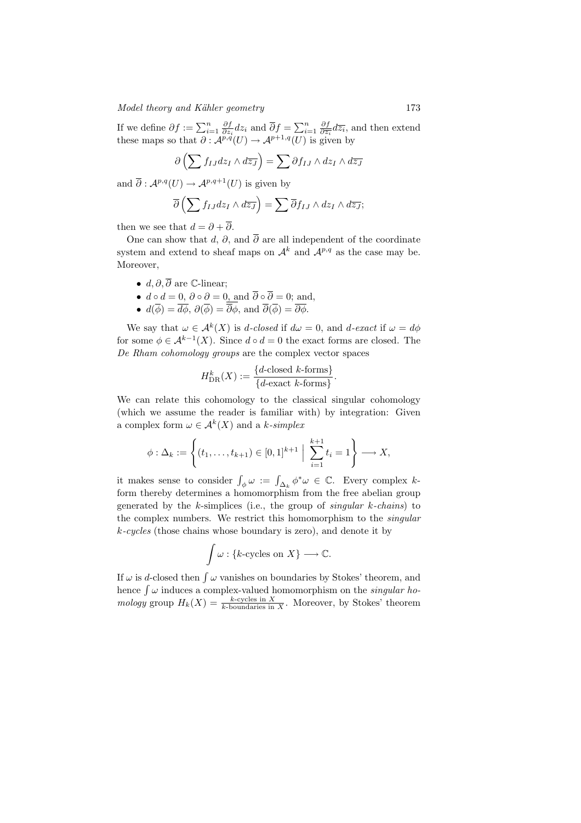## Model theory and Kähler geometry 173

If we define  $\partial f := \sum_{i=1}^n \frac{\partial f}{\partial z_i} dz_i$  and  $\overline{\partial} f = \sum_{i=1}^n \frac{\partial f}{\partial \overline{z_i}} d\overline{z_i}$ , and then extend these maps so that  $\partial: \mathcal{A}^{p,q}(U) \to \mathcal{A}^{p+1,q}(U)$  is given by

$$
\partial \left( \sum f_{IJ} dz_I \wedge d\overline{z_J} \right) = \sum \partial f_{IJ} \wedge dz_I \wedge d\overline{z_J}
$$

and  $\overline{\partial}: \mathcal{A}^{p,q}(U) \to \mathcal{A}^{p,q+1}(U)$  is given by

$$
\overline{\partial}\left(\sum f_{IJ}dz_I\wedge d\overline{z_J}\right)=\sum \overline{\partial}f_{IJ}\wedge dz_I\wedge d\overline{z_J};
$$

then we see that  $d = \partial + \overline{\partial}$ .

One can show that d,  $\partial$ , and  $\overline{\partial}$  are all independent of the coordinate system and extend to sheaf maps on  $\mathcal{A}^k$  and  $\mathcal{A}^{p,q}$  as the case may be. Moreover,

- $d, \partial, \overline{\partial}$  are C-linear;
- $d \circ d = 0$ ,  $\partial \circ \partial = 0$ , and  $\partial \circ \partial = 0$ ; and,
- $d(\phi) = d\phi$ ,  $\partial(\phi) = \partial\phi$ , and  $\partial(\phi) = \partial\phi$ .

We say that  $\omega \in \mathcal{A}^k(X)$  is d-closed if  $d\omega = 0$ , and d-exact if  $\omega = d\phi$ for some  $\phi \in \mathcal{A}^{k-1}(X)$ . Since  $d \circ d = 0$  the exact forms are closed. The De Rham cohomology groups are the complex vector spaces

$$
H_{\text{DR}}^k(X) := \frac{\{d\text{-closed }k\text{-forms}\}}{\{d\text{-exact }k\text{-forms}\}}.
$$

We can relate this cohomology to the classical singular cohomology (which we assume the reader is familiar with) by integration: Given a complex form  $\omega \in \mathcal{A}^k(X)$  and a k-simplex

$$
\phi : \Delta_k := \left\{ (t_1, \dots, t_{k+1}) \in [0,1]^{k+1} \; \Big| \; \sum_{i=1}^{k+1} t_i = 1 \right\} \longrightarrow X,
$$

it makes sense to consider  $\int_{\phi} \omega := \int_{\Delta_k} \phi^* \omega \in \mathbb{C}$ . Every complex kform thereby determines a homomorphism from the free abelian group generated by the  $k$ -simplices (i.e., the group of singular  $k$ -chains) to the complex numbers. We restrict this homomorphism to the singular k-cycles (those chains whose boundary is zero), and denote it by

$$
\int \omega : \{k\text{-cycles on } X\} \longrightarrow \mathbb{C}.
$$

If  $\omega$  is d-closed then  $\int \omega$  vanishes on boundaries by Stokes' theorem, and hence  $\int \omega$  induces a complex-valued homomorphism on the *singular ho*mology group  $H_k(X) = \frac{k\text{-cycles in } X}{k\text{-boundaries in } X}$ . Moreover, by Stokes' theorem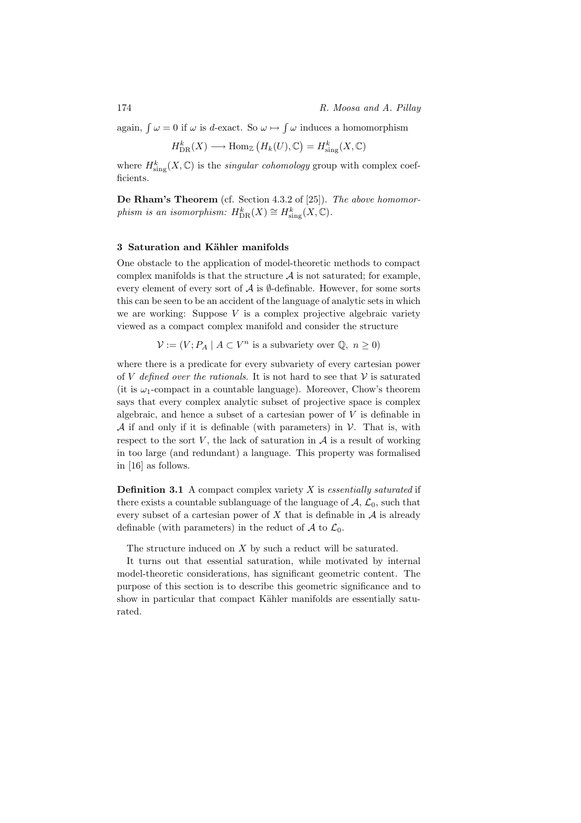again,  $\int \omega = 0$  if  $\omega$  is d-exact. So  $\omega \mapsto \int \omega$  induces a homomorphism

$$
H_{\text{DR}}^k(X) \longrightarrow \text{Hom}_{\mathbb{Z}}\left(H_k(U), \mathbb{C}\right) = H_{\text{sing}}^k(X, \mathbb{C})
$$

where  $H^k_{\text{sing}}(X,\mathbb{C})$  is the *singular cohomology* group with complex coefficients.

De Rham's Theorem (cf. Section 4.3.2 of [25]). The above homomorphism is an isomorphism:  $H^k_{\text{DR}}(X) \cong H^k_{\text{sing}}(X, \mathbb{C})$ .

## 3 Saturation and Kähler manifolds

One obstacle to the application of model-theoretic methods to compact complex manifolds is that the structure  $A$  is not saturated; for example, every element of every sort of  $A$  is  $\emptyset$ -definable. However, for some sorts this can be seen to be an accident of the language of analytic sets in which we are working: Suppose  $V$  is a complex projective algebraic variety viewed as a compact complex manifold and consider the structure

$$
\mathcal{V} := (V; P_A \mid A \subset V^n \text{ is a subvariety over } \mathbb{Q}, n \ge 0)
$$

where there is a predicate for every subvariety of every cartesian power of V defined over the rationals. It is not hard to see that  $V$  is saturated (it is  $\omega_1$ -compact in a countable language). Moreover, Chow's theorem says that every complex analytic subset of projective space is complex algebraic, and hence a subset of a cartesian power of  $V$  is definable in A if and only if it is definable (with parameters) in  $\mathcal V$ . That is, with respect to the sort  $V$ , the lack of saturation in  $A$  is a result of working in too large (and redundant) a language. This property was formalised in [16] as follows.

**Definition 3.1** A compact complex variety  $X$  is essentially saturated if there exists a countable sublanguage of the language of  $A, \mathcal{L}_0$ , such that every subset of a cartesian power of  $X$  that is definable in  $A$  is already definable (with parameters) in the reduct of  $A$  to  $\mathcal{L}_0$ .

The structure induced on X by such a reduct will be saturated.

It turns out that essential saturation, while motivated by internal model-theoretic considerations, has significant geometric content. The purpose of this section is to describe this geometric significance and to show in particular that compact Kähler manifolds are essentially saturated.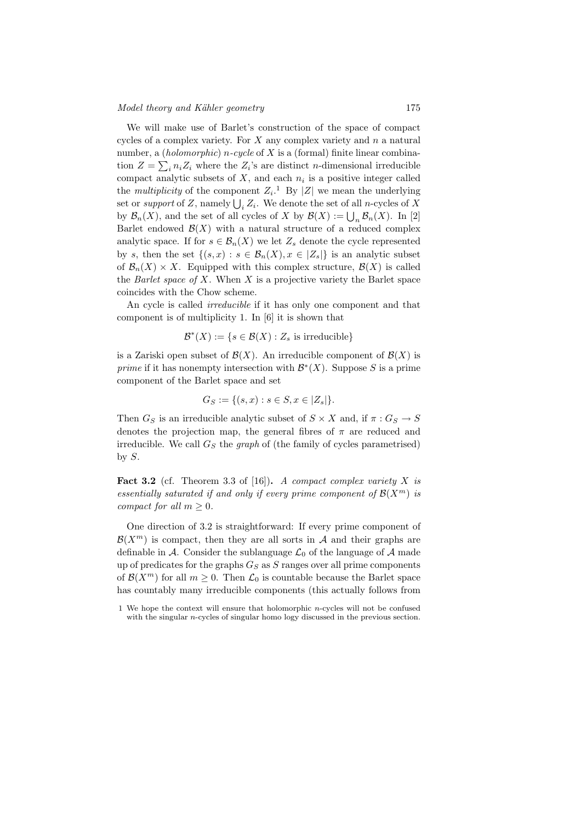We will make use of Barlet's construction of the space of compact cycles of a complex variety. For  $X$  any complex variety and  $n$  a natural number, a *(holomorphic) n-cycle* of  $X$  is a *(formal)* finite linear combination  $Z = \sum_i n_i Z_i$  where the  $Z_i$ 's are distinct n-dimensional irreducible compact analytic subsets of  $X$ , and each  $n_i$  is a positive integer called the *multiplicity* of the component  $Z_i$ .<sup>1</sup> By |Z| we mean the underlying set or *support* of Z, namely  $\bigcup_i Z_i$ . We denote the set of all *n*-cycles of X by  $\mathcal{B}_n(X)$ , and the set of all cycles of X by  $\mathcal{B}(X) := \bigcup_n \mathcal{B}_n(X)$ . In [2] Barlet endowed  $\mathcal{B}(X)$  with a natural structure of a reduced complex analytic space. If for  $s \in \mathcal{B}_n(X)$  we let  $Z_s$  denote the cycle represented by s, then the set  $\{(s,x): s \in \mathcal{B}_n(X), x \in |Z_s|\}$  is an analytic subset of  $\mathcal{B}_n(X) \times X$ . Equipped with this complex structure,  $\mathcal{B}(X)$  is called the Barlet space of  $X$ . When  $X$  is a projective variety the Barlet space coincides with the Chow scheme.

An cycle is called irreducible if it has only one component and that component is of multiplicity 1. In [6] it is shown that

 $\mathcal{B}^*(X) := \{ s \in \mathcal{B}(X) : Z_s \text{ is irreducible} \}$ 

is a Zariski open subset of  $\mathcal{B}(X)$ . An irreducible component of  $\mathcal{B}(X)$  is prime if it has nonempty intersection with  $\mathcal{B}^*(X)$ . Suppose S is a prime component of the Barlet space and set

$$
G_S := \{ (s, x) : s \in S, x \in |Z_s| \}.
$$

Then  $G_S$  is an irreducible analytic subset of  $S \times X$  and, if  $\pi : G_S \to S$ denotes the projection map, the general fibres of  $\pi$  are reduced and irreducible. We call  $G<sub>S</sub>$  the graph of (the family of cycles parametrised) by  $S$ .

**Fact 3.2** (cf. Theorem 3.3 of [16]). A compact complex variety X is essentially saturated if and only if every prime component of  $\mathcal{B}(X^m)$  is compact for all  $m \geq 0$ .

One direction of 3.2 is straightforward: If every prime component of  $\mathcal{B}(X^m)$  is compact, then they are all sorts in A and their graphs are definable in A. Consider the sublanguage  $\mathcal{L}_0$  of the language of A made up of predicates for the graphs  $G_S$  as S ranges over all prime components of  $\mathcal{B}(X^m)$  for all  $m \geq 0$ . Then  $\mathcal{L}_0$  is countable because the Barlet space has countably many irreducible components (this actually follows from

<sup>1</sup> We hope the context will ensure that holomorphic  $n$ -cycles will not be confused with the singular *n*-cycles of singular homo logy discussed in the previous section.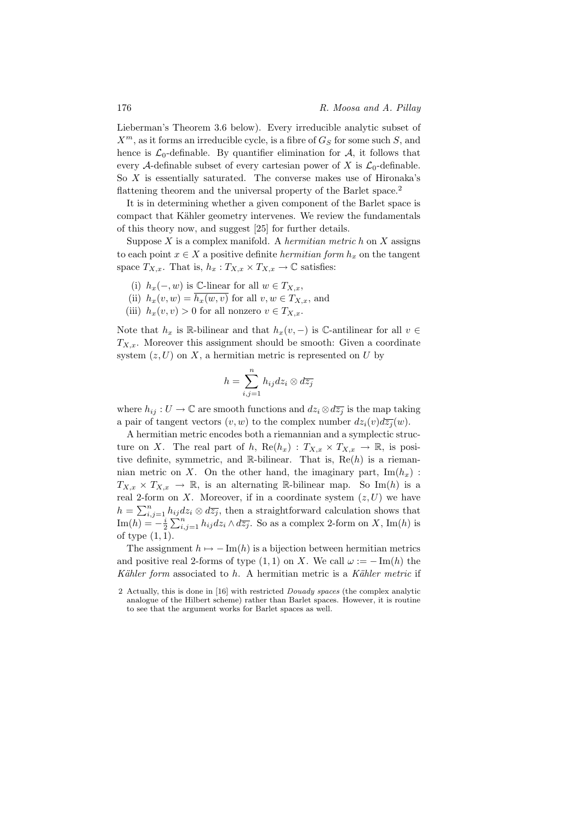Lieberman's Theorem 3.6 below). Every irreducible analytic subset of  $X^m$ , as it forms an irreducible cycle, is a fibre of  $G_S$  for some such S, and hence is  $\mathcal{L}_0$ -definable. By quantifier elimination for  $\mathcal{A}$ , it follows that every A-definable subset of every cartesian power of X is  $\mathcal{L}_0$ -definable. So  $X$  is essentially saturated. The converse makes use of Hironaka's flattening theorem and the universal property of the Barlet space.<sup>2</sup>

It is in determining whether a given component of the Barlet space is compact that Kähler geometry intervenes. We review the fundamentals of this theory now, and suggest [25] for further details.

Suppose  $X$  is a complex manifold. A *hermitian metric h* on  $X$  assigns to each point  $x \in X$  a positive definite *hermitian form*  $h_x$  on the tangent space  $T_{X,x}$ . That is,  $h_x: T_{X,x} \times T_{X,x} \to \mathbb{C}$  satisfies:

- (i)  $h_x(-, w)$  is C-linear for all  $w \in T_{X,x}$ ,
- (ii)  $h_x(v, w) = h_x(w, v)$  for all  $v, w \in T_{X,x}$ , and
- (iii)  $h_x(v, v) > 0$  for all nonzero  $v \in T_{X,x}$ .

Note that  $h_x$  is R-bilinear and that  $h_x(v, -)$  is C-antilinear for all  $v \in$  $T_{X,x}$ . Moreover this assignment should be smooth: Given a coordinate system  $(z, U)$  on X, a hermitian metric is represented on U by

$$
h = \sum_{i,j=1}^{n} h_{ij} dz_i \otimes d\overline{z_j}
$$

where  $h_{ij}: U \to \mathbb{C}$  are smooth functions and  $dz_i \otimes d\overline{z_j}$  is the map taking a pair of tangent vectors  $(v, w)$  to the complex number  $dz_i(v)d\overline{z_i}(w)$ .

A hermitian metric encodes both a riemannian and a symplectic structure on X. The real part of h,  $\text{Re}(h_x) : T_{X,x} \times T_{X,x} \to \mathbb{R}$ , is positive definite, symmetric, and R-bilinear. That is,  $\text{Re}(h)$  is a riemannian metric on X. On the other hand, the imaginary part,  $\text{Im}(h_x)$ :  $T_{X,x} \times T_{X,x} \to \mathbb{R}$ , is an alternating R-bilinear map. So Im(h) is a real 2-form on X. Moreover, if in a coordinate system  $(z, U)$  we have  $h = \sum_{i,j=1}^n h_{ij} dz_i \otimes d\overline{z_j}$ , then a straightforward calculation shows that  $\text{Im}(h) = -\frac{i}{2} \sum_{i,j=1}^{n} h_{ij} dz_i \wedge d\overline{z_j}$ . So as a complex 2-form on X, Im(h) is of type (1, 1).

The assignment  $h \mapsto -\operatorname{Im}(h)$  is a bijection between hermitian metrics and positive real 2-forms of type  $(1, 1)$  on X. We call  $\omega := -\text{Im}(h)$  the Kähler form associated to  $h$ . A hermitian metric is a Kähler metric if

<sup>2</sup> Actually, this is done in [16] with restricted Douady spaces (the complex analytic analogue of the Hilbert scheme) rather than Barlet spaces. However, it is routine to see that the argument works for Barlet spaces as well.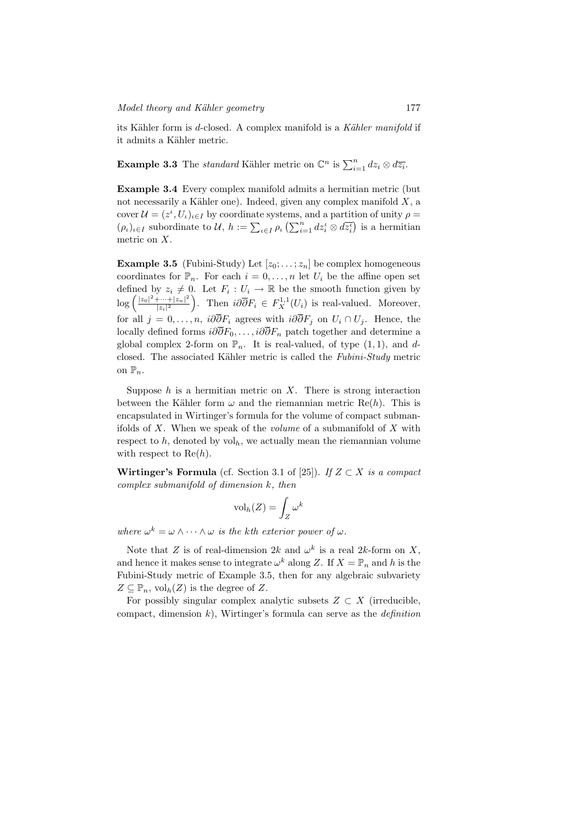its Kähler form is d-closed. A complex manifold is a Kähler manifold if it admits a Kähler metric.

**Example 3.3** The *standard* Kähler metric on  $\mathbb{C}^n$  is  $\sum_{i=1}^n dz_i \otimes d\overline{z_i}$ .

Example 3.4 Every complex manifold admits a hermitian metric (but not necessarily a Kähler one). Indeed, given any complex manifold  $X$ , a cover  $\mathcal{U} = (z^{\iota}, U_{\iota})_{\iota \in I}$  by coordinate systems, and a partition of unity  $\rho =$  $(\rho_t)_{t \in I}$  subordinate to  $\mathcal{U}, h := \sum_{\iota \in I} \rho_\iota \left( \sum_{i=1}^n dz_i^{\iota} \otimes d\overline{z_i^{\iota}} \right)$  is a hermitian metric on X.

**Example 3.5** (Fubini-Study) Let  $[z_0; \ldots; z_n]$  be complex homogeneous coordinates for  $\mathbb{P}_n$ . For each  $i = 0, \ldots, n$  let  $U_i$  be the affine open set defined by  $z_i \neq 0$ . Let  $F_i : U_i \to \mathbb{R}$  be the smooth function given by  $\log \left( \frac{|z_0|^2 + \dots + |z_n|^2}{|z_0|^2} \right)$  $\frac{|\cdots+|z_n|^2}{|z_i|^2}$ . Then  $i\partial \overline{\partial} F_i \in F_X^{1,1}(U_i)$  is real-valued. Moreover, for all  $j = 0, \ldots, n$ ,  $i\partial \overline{\partial} F_i$  agrees with  $i\partial \overline{\partial} F_j$  on  $U_i \cap U_j$ . Hence, the locally defined forms  $i\partial \overline{\partial} F_0, \ldots, i\partial \overline{\partial} F_n$  patch together and determine a global complex 2-form on  $\mathbb{P}_n$ . It is real-valued, of type  $(1, 1)$ , and dclosed. The associated Kähler metric is called the  $Fubini-Study$  metric on  $\mathbb{P}_n$ .

Suppose  $h$  is a hermitian metric on  $X$ . There is strong interaction between the Kähler form  $\omega$  and the riemannian metric Re(h). This is encapsulated in Wirtinger's formula for the volume of compact submanifolds of  $X$ . When we speak of the *volume* of a submanifold of  $X$  with respect to  $h$ , denoted by vol<sub>h</sub>, we actually mean the riemannian volume with respect to  $Re(h)$ .

Wirtinger's Formula (cf. Section 3.1 of [25]). If  $Z \subset X$  is a compact complex submanifold of dimension k, then

$$
\mathrm{vol}_h(Z) = \int_Z \omega^k
$$

where  $\omega^k = \omega \wedge \cdots \wedge \omega$  is the kth exterior power of  $\omega$ .

Note that Z is of real-dimension  $2k$  and  $\omega^k$  is a real  $2k$ -form on X, and hence it makes sense to integrate  $\omega^k$  along Z. If  $X = \mathbb{P}_n$  and h is the Fubini-Study metric of Example 3.5, then for any algebraic subvariety  $Z \subseteq \mathbb{P}_n$ ,  $\mathrm{vol}_h(Z)$  is the degree of Z.

For possibly singular complex analytic subsets  $Z \subset X$  (irreducible, compact, dimension  $k$ ), Wirtinger's formula can serve as the *definition*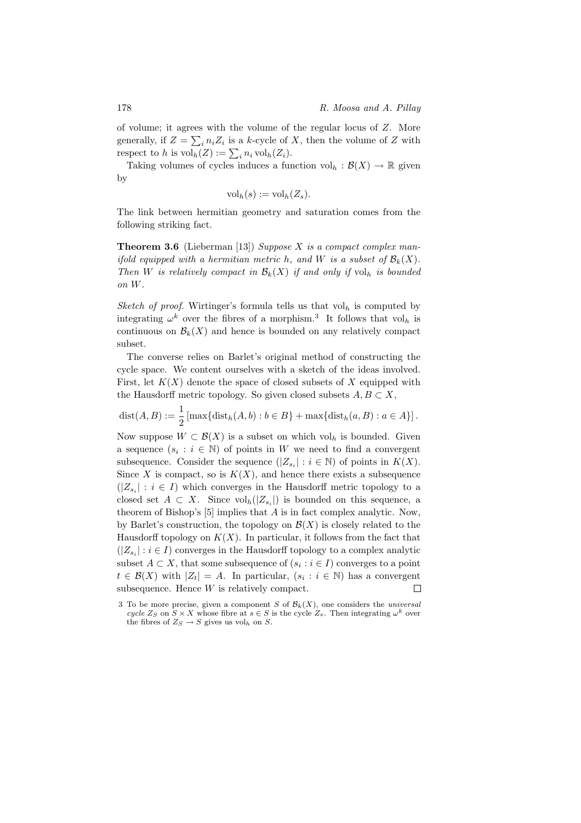of volume; it agrees with the volume of the regular locus of Z. More generally, if  $Z = \sum_i n_i Z_i$  is a k-cycle of X, then the volume of Z with respect to h is  $\mathrm{vol}_h(Z) := \sum_i n_i \mathrm{vol}_h(Z_i)$ .

Taking volumes of cycles induces a function  $\mathrm{vol}_h : \mathcal{B}(X) \to \mathbb{R}$  given by

$$
\mathrm{vol}_h(s) := \mathrm{vol}_h(Z_s).
$$

The link between hermitian geometry and saturation comes from the following striking fact.

**Theorem 3.6** (Lieberman [13]) Suppose X is a compact complex manifold equipped with a hermitian metric h, and W is a subset of  $\mathcal{B}_k(X)$ . Then W is relatively compact in  $\mathcal{B}_k(X)$  if and only if  $\mathrm{vol}_h$  is bounded on W.

Sketch of proof. Wirtinger's formula tells us that  $vol_h$  is computed by integrating  $\omega^k$  over the fibres of a morphism.<sup>3</sup> It follows that vol<sub>h</sub> is continuous on  $\mathcal{B}_k(X)$  and hence is bounded on any relatively compact subset.

The converse relies on Barlet's original method of constructing the cycle space. We content ourselves with a sketch of the ideas involved. First, let  $K(X)$  denote the space of closed subsets of X equipped with the Hausdorff metric topology. So given closed subsets  $A, B \subset X$ ,

$$
dist(A, B) := \frac{1}{2} \left[ \max \{ dist_h(A, b) : b \in B \} + \max \{ dist_h(a, B) : a \in A \} \right].
$$

Now suppose  $W \subset \mathcal{B}(X)$  is a subset on which vol<sub>h</sub> is bounded. Given a sequence  $(s_i : i \in \mathbb{N})$  of points in W we need to find a convergent subsequence. Consider the sequence  $(|Z_{s_i}| : i \in \mathbb{N})$  of points in  $K(X)$ . Since X is compact, so is  $K(X)$ , and hence there exists a subsequence  $(|Z_{s_i}|: i \in I)$  which converges in the Hausdorff metric topology to a closed set  $A \subset X$ . Since  $\mathrm{vol}_h(|Z_{s_i}|)$  is bounded on this sequence, a theorem of Bishop's [5] implies that A is in fact complex analytic. Now, by Barlet's construction, the topology on  $\mathcal{B}(X)$  is closely related to the Hausdorff topology on  $K(X)$ . In particular, it follows from the fact that  $(|Z_{s_i}|: i \in I)$  converges in the Hausdorff topology to a complex analytic subset  $A \subset X$ , that some subsequence of  $(s_i : i \in I)$  converges to a point  $t \in \mathcal{B}(X)$  with  $|Z_t| = A$ . In particular,  $(s_i : i \in \mathbb{N})$  has a convergent subsequence. Hence  $W$  is relatively compact.  $\Box$ 

<sup>3</sup> To be more precise, given a component S of  $\mathcal{B}_k(X)$ , one considers the universal cycle  $Z_S$  on  $S \times X$  whose fibre at  $s \in S$  is the cycle  $Z_s$ . Then integrating  $\omega^k$  over the fibres of  $Z_S \to S$  gives us vol<sub>h</sub> on S.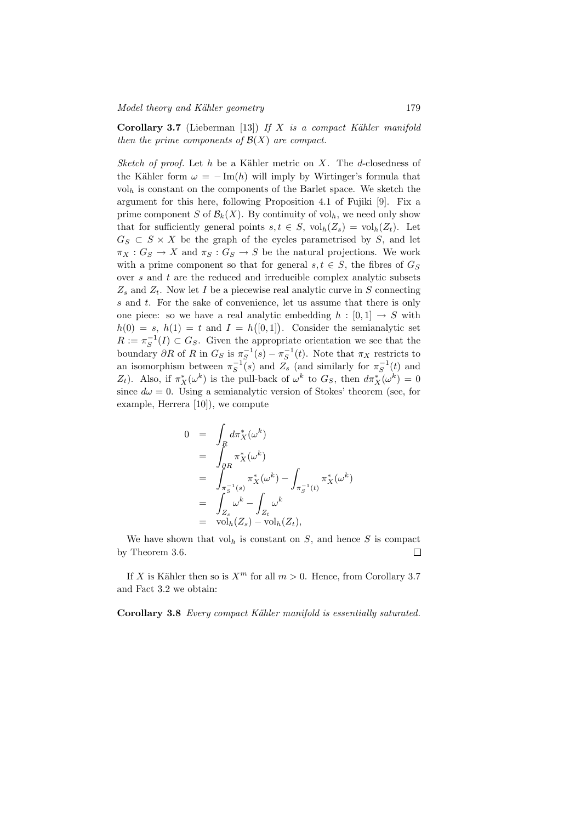Corollary 3.7 (Lieberman [13]) If X is a compact Kähler manifold then the prime components of  $\mathcal{B}(X)$  are compact.

Sketch of proof. Let h be a Kähler metric on X. The d-closedness of the Kähler form  $\omega = -\text{Im}(h)$  will imply by Wirtinger's formula that  $vol<sub>h</sub>$  is constant on the components of the Barlet space. We sketch the argument for this here, following Proposition 4.1 of Fujiki [9]. Fix a prime component S of  $\mathcal{B}_k(X)$ . By continuity of vol<sub>h</sub>, we need only show that for sufficiently general points  $s, t \in S$ ,  $\mathrm{vol}_h(Z_s) = \mathrm{vol}_h(Z_t)$ . Let  $G_S \subset S \times X$  be the graph of the cycles parametrised by S, and let  $\pi_X : G_S \to X$  and  $\pi_S : G_S \to S$  be the natural projections. We work with a prime component so that for general  $s, t \in S$ , the fibres of  $G_S$ over  $s$  and  $t$  are the reduced and irreducible complex analytic subsets  $Z_s$  and  $Z_t$ . Now let I be a piecewise real analytic curve in S connecting s and t. For the sake of convenience, let us assume that there is only one piece: so we have a real analytic embedding  $h : [0,1] \rightarrow S$  with  $h(0) = s, h(1) = t$  and  $I = h([0, 1]).$  Consider the semianalytic set  $R := \pi_S^{-1}(I) \subset G_S$ . Given the appropriate orientation we see that the boundary  $\partial R$  of R in  $G_S$  is  $\pi_S^{-1}(s) - \pi_S^{-1}(t)$ . Note that  $\pi_X$  restricts to an isomorphism between  $\pi_S^{-1}(s)$  and  $Z_s$  (and similarly for  $\pi_S^{-1}(t)$  and Z<sub>t</sub>). Also, if  $\pi_X^*(\omega^k)$  is the pull-back of  $\omega^k$  to  $G_S$ , then  $d\pi_X^*(\omega^k) = 0$ since  $d\omega = 0$ . Using a semianalytic version of Stokes' theorem (see, for example, Herrera [10]), we compute

$$
0 = \int_R d\pi_X^*(\omega^k)
$$
  
\n
$$
= \int_{\partial R} \pi_X^*(\omega^k)
$$
  
\n
$$
= \int_{\pi_S^{-1}(s)} \pi_X^*(\omega^k) - \int_{\pi_S^{-1}(t)} \pi_X^*(\omega^k)
$$
  
\n
$$
= \int_{Z_s} \omega^k - \int_{Z_t} \omega^k
$$
  
\n
$$
= \text{vol}_h(Z_s) - \text{vol}_h(Z_t),
$$

We have shown that  $vol_h$  is constant on S, and hence S is compact by Theorem 3.6.  $\Box$ 

If X is Kähler then so is  $X^m$  for all  $m > 0$ . Hence, from Corollary 3.7 and Fact 3.2 we obtain:

Corollary 3.8 Every compact Kähler manifold is essentially saturated.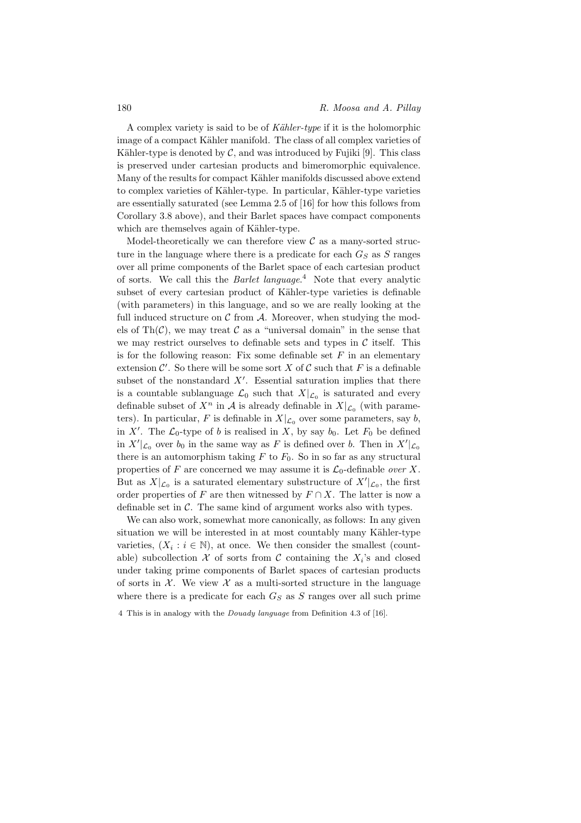A complex variety is said to be of Kähler-type if it is the holomorphic image of a compact Kähler manifold. The class of all complex varieties of Kähler-type is denoted by  $\mathcal{C}$ , and was introduced by Fujiki [9]. This class is preserved under cartesian products and bimeromorphic equivalence. Many of the results for compact Kähler manifolds discussed above extend to complex varieties of Kähler-type. In particular, Kähler-type varieties are essentially saturated (see Lemma 2.5 of [16] for how this follows from Corollary 3.8 above), and their Barlet spaces have compact components which are themselves again of Kähler-type.

Model-theoretically we can therefore view  $\mathcal C$  as a many-sorted structure in the language where there is a predicate for each  $G_S$  as S ranges over all prime components of the Barlet space of each cartesian product of sorts. We call this the Barlet language.<sup>4</sup> Note that every analytic subset of every cartesian product of Kähler-type varieties is definable (with parameters) in this language, and so we are really looking at the full induced structure on  $\mathcal C$  from  $\mathcal A$ . Moreover, when studying the models of Th $(\mathcal{C})$ , we may treat  $\mathcal C$  as a "universal domain" in the sense that we may restrict ourselves to definable sets and types in  $\mathcal C$  itself. This is for the following reason: Fix some definable set  $F$  in an elementary extension  $\mathcal{C}'$ . So there will be some sort X of C such that F is a definable subset of the nonstandard  $X'$ . Essential saturation implies that there is a countable sublanguage  $\mathcal{L}_0$  such that  $X|_{\mathcal{L}_0}$  is saturated and every definable subset of  $X^n$  in A is already definable in  $X|_{\mathcal{L}_0}$  (with parameters). In particular, F is definable in  $X|_{\mathcal{L}_0}$  over some parameters, say b, in X'. The  $\mathcal{L}_0$ -type of b is realised in X, by say  $b_0$ . Let  $F_0$  be defined in  $X'|_{\mathcal{L}_0}$  over  $b_0$  in the same way as F is defined over b. Then in  $X'|_{\mathcal{L}_0}$ there is an automorphism taking  $F$  to  $F_0$ . So in so far as any structural properties of F are concerned we may assume it is  $\mathcal{L}_0$ -definable *over* X. But as  $X|_{\mathcal{L}_0}$  is a saturated elementary substructure of  $X'|_{\mathcal{L}_0}$ , the first order properties of F are then witnessed by  $F \cap X$ . The latter is now a definable set in  $\mathcal{C}$ . The same kind of argument works also with types.

We can also work, somewhat more canonically, as follows: In any given situation we will be interested in at most countably many Kähler-type varieties,  $(X_i : i \in \mathbb{N})$ , at once. We then consider the smallest (countable) subcollection  $\mathcal X$  of sorts from  $\mathcal C$  containing the  $X_i$ 's and closed under taking prime components of Barlet spaces of cartesian products of sorts in  $\mathcal{X}$ . We view  $\mathcal{X}$  as a multi-sorted structure in the language where there is a predicate for each  $G<sub>S</sub>$  as S ranges over all such prime

4 This is in analogy with the Douady language from Definition 4.3 of [16].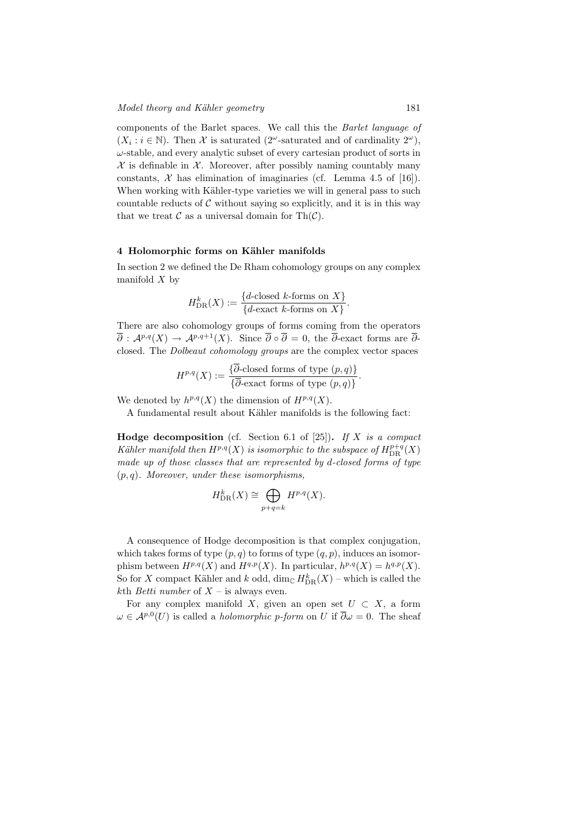components of the Barlet spaces. We call this the Barlet language of  $(X_i : i \in \mathbb{N})$ . Then X is saturated (2<sup>ω</sup>-saturated and of cardinality 2<sup>ω</sup>),  $\omega$ -stable, and every analytic subset of every cartesian product of sorts in  $X$  is definable in  $X$ . Moreover, after possibly naming countably many constants,  $\mathcal X$  has elimination of imaginaries (cf. Lemma 4.5 of [16]). When working with Kähler-type varieties we will in general pass to such countable reducts of  $C$  without saying so explicitly, and it is in this way that we treat  $\mathcal C$  as a universal domain for Th $(\mathcal C)$ .

### 4 Holomorphic forms on Kähler manifolds

In section 2 we defined the De Rham cohomology groups on any complex manifold  $X$  by

$$
H_{\mathrm{DR}}^{k}(X) := \frac{\{d\text{-closed }k\text{-forms on }X\}}{\{d\text{-exact }k\text{-forms on }X\}}.
$$

There are also cohomology groups of forms coming from the operators  $\overline{\partial}: \mathcal{A}^{p,q}(X) \to \mathcal{A}^{p,q+1}(X)$ . Since  $\overline{\partial} \circ \overline{\partial} = 0$ , the  $\overline{\partial}$ -exact forms are  $\overline{\partial}$ closed. The Dolbeaut cohomology groups are the complex vector spaces

$$
H^{p,q}(X) := \frac{\{\overline{\partial}\text{-closed forms of type }(p,q)\}}{\{\overline{\partial}\text{-exact forms of type }(p,q)\}}.
$$

We denoted by  $h^{p,q}(X)$  the dimension of  $H^{p,q}(X)$ .

A fundamental result about Kähler manifolds is the following fact:

**Hodge decomposition** (cf. Section 6.1 of [25]). If X is a compact Kähler manifold then  $H^{p,q}(X)$  is isomorphic to the subspace of  $H^{p+q}_{\mathrm{DR}}(X)$ made up of those classes that are represented by d-closed forms of type  $(p, q)$ . Moreover, under these isomorphisms,

$$
H_{\mathrm{DR}}^{k}(X) \cong \bigoplus_{p+q=k} H^{p,q}(X).
$$

A consequence of Hodge decomposition is that complex conjugation. which takes forms of type  $(p, q)$  to forms of type  $(q, p)$ , induces an isomorphism between  $H^{p,q}(X)$  and  $H^{q,p}(X)$ . In particular,  $h^{p,q}(X) = h^{q,p}(X)$ . So for X compact Kähler and  $k$  odd,  $\dim_{\mathbb{C}} H^k_{\text{DR}}(X)$  – which is called the kth *Betti number* of  $X$  – is always even.

For any complex manifold X, given an open set  $U \subset X$ , a form  $\omega \in \mathcal{A}^{p,0}(U)$  is called a *holomorphic p-form* on U if  $\overline{\partial}\omega = 0$ . The sheaf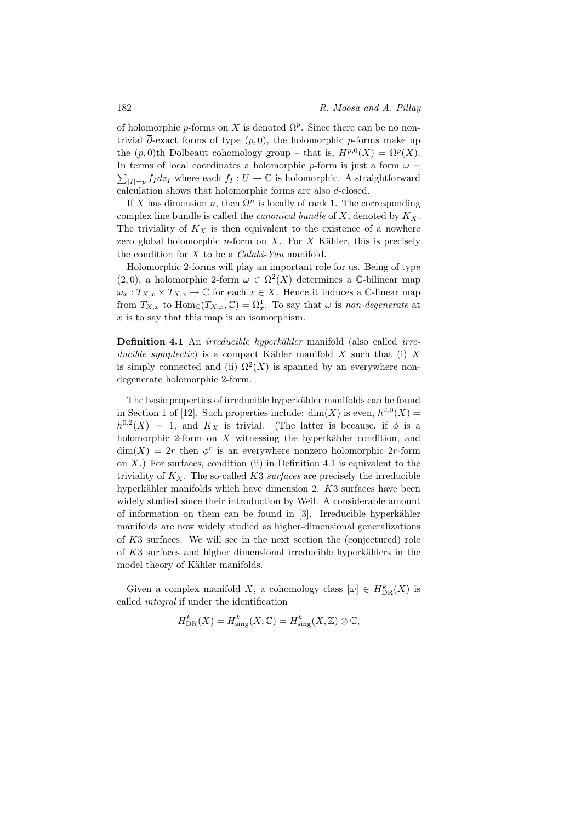of holomorphic p-forms on X is denoted  $\Omega^p$ . Since there can be no nontrivial  $\overline{\partial}$ -exact forms of type  $(p, 0)$ , the holomorphic p-forms make up the  $(p, 0)$ th Dolbeaut cohomology group – that is,  $H^{p,0}(X) = \Omega^p(X)$ . In terms of local coordinates a holomorphic p-form is just a form  $\omega =$  $\sum_{|I|=p} f_I dz_I$  where each  $f_I: U \to \mathbb{C}$  is holomorphic. A straightforward calculation shows that holomorphic forms are also d-closed.

If X has dimension n, then  $\Omega^n$  is locally of rank 1. The corresponding complex line bundle is called the *canonical bundle* of  $X$ , denoted by  $K_X$ . The triviality of  $K_X$  is then equivalent to the existence of a nowhere zero global holomorphic  $n$ -form on  $X$ . For  $X$  Kähler, this is precisely the condition for  $X$  to be a *Calabi-Yau* manifold.

Holomorphic 2-forms will play an important role for us. Being of type  $(2,0)$ , a holomorphic 2-form  $\omega \in \Omega^2(X)$  determines a C-bilinear map  $\omega_x: T_{X,x} \times T_{X,x} \to \mathbb{C}$  for each  $x \in X$ . Hence it induces a  $\mathbb{C}$ -linear map from  $T_{X,x}$  to  $\text{Hom}_{\mathbb{C}}(T_{X,x}, \mathbb{C}) = \Omega_x^1$ . To say that  $\omega$  is non-degenerate at  $x$  is to say that this map is an isomorphism.

Definition 4.1 An *irreducible hyperkähler* manifold (also called *irre*ducible symplectic) is a compact Kähler manifold  $X$  such that (i)  $X$ is simply connected and (ii)  $\Omega^2(X)$  is spanned by an everywhere nondegenerate holomorphic 2-form.

The basic properties of irreducible hyperkähler manifolds can be found in Section 1 of [12]. Such properties include:  $dim(X)$  is even,  $h^{2,0}(X) =$  $h^{0,2}(X) = 1$ , and  $K_X$  is trivial. (The latter is because, if  $\phi$  is a holomorphic 2-form on  $X$  witnessing the hyperkähler condition, and  $\dim(X) = 2r$  then  $\phi^r$  is an everywhere nonzero holomorphic 2r-form on  $X$ .) For surfaces, condition (ii) in Definition 4.1 is equivalent to the triviality of  $K_X$ . The so-called  $K3$  surfaces are precisely the irreducible hyperkähler manifolds which have dimension  $2.$  K3 surfaces have been widely studied since their introduction by Weil. A considerable amount of information on them can be found in  $[3]$ . Irreducible hyperkähler manifolds are now widely studied as higher-dimensional generalizations of K3 surfaces. We will see in the next section the (conjectured) role of  $K3$  surfaces and higher dimensional irreducible hyperkählers in the model theory of Kähler manifolds.

Given a complex manifold X, a cohomology class  $[\omega] \in H_{\text{DR}}^k(X)$  is called integral if under the identification

$$
H_{\mathrm{DR}}^{k}(X) = H_{\mathrm{sing}}^{k}(X, \mathbb{C}) = H_{\mathrm{sing}}^{k}(X, \mathbb{Z}) \otimes \mathbb{C},
$$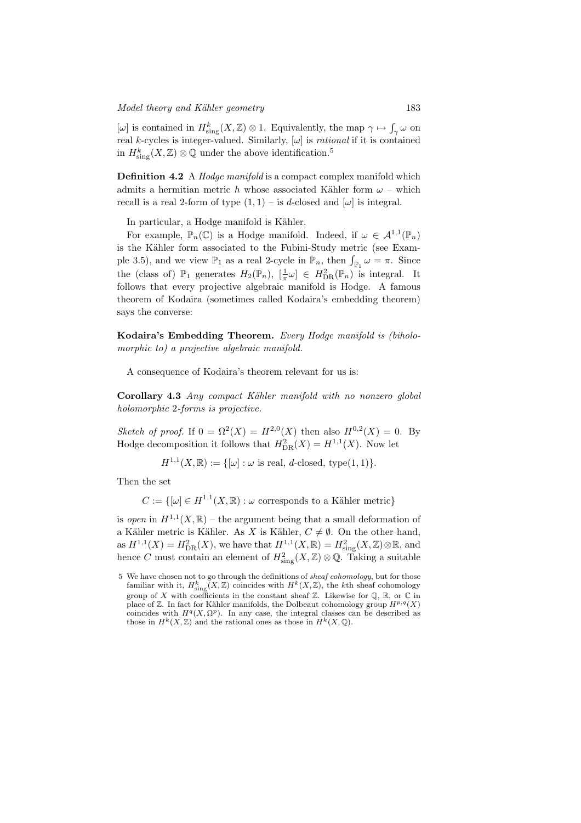$[\omega]$  is contained in  $H^k_{\text{sing}}(X,\mathbb{Z})\otimes 1$ . Equivalently, the map  $\gamma \mapsto \int_{\gamma} \omega$  on real *k*-cycles is integer-valued. Similarly,  $[\omega]$  is *rational* if it is contained in  $H^k_\text{sing}(X,\mathbb{Z})\otimes\mathbb{Q}$  under the above identification.<sup>5</sup>

Definition 4.2 A *Hodge manifold* is a compact complex manifold which admits a hermitian metric h whose associated Kähler form  $\omega$  – which recall is a real 2-form of type  $(1, 1)$  – is d-closed and  $[\omega]$  is integral.

In particular, a Hodge manifold is Kähler.

For example,  $\mathbb{P}_n(\mathbb{C})$  is a Hodge manifold. Indeed, if  $\omega \in \mathcal{A}^{1,1}(\mathbb{P}_n)$ is the Kähler form associated to the Fubini-Study metric (see Example 3.5), and we view  $\mathbb{P}_1$  as a real 2-cycle in  $\mathbb{P}_n$ , then  $\int_{\mathbb{P}_1} \omega = \pi$ . Since the (class of)  $\mathbb{P}_1$  generates  $H_2(\mathbb{P}_n)$ ,  $\left[\frac{1}{\pi}\omega\right] \in H_{DR}^2(\mathbb{P}_n)$  is integral. It follows that every projective algebraic manifold is Hodge. A famous theorem of Kodaira (sometimes called Kodaira's embedding theorem) says the converse:

Kodaira's Embedding Theorem. Every Hodge manifold is (biholomorphic to) a projective algebraic manifold.

A consequence of Kodaira's theorem relevant for us is:

Corollary 4.3 Any compact Kähler manifold with no nonzero global holomorphic 2-forms is projective.

Sketch of proof. If  $0 = \Omega^2(X) = H^{2,0}(X)$  then also  $H^{0,2}(X) = 0$ . By Hodge decomposition it follows that  $H_{DR}^2(X) = H^{1,1}(X)$ . Now let

$$
H^{1,1}(X,\mathbb{R}) := \{ [\omega] : \omega \text{ is real, } d\text{-closed, type}(1,1) \}.
$$

Then the set

 $C := \{[\omega] \in H^{1,1}(X,\mathbb{R}) : \omega \text{ corresponds to a Kähler metric}\}\$ 

is open in  $H^{1,1}(X,\mathbb{R})$  – the argument being that a small deformation of a Kähler metric is Kähler. As X is Kähler,  $C \neq \emptyset$ . On the other hand, as  $H^{1,1}(X) = H_{\text{DR}}^2(X)$ , we have that  $H^{1,1}(X,\mathbb{R}) = H_{\text{sing}}^2(X,\mathbb{Z}) \otimes \mathbb{R}$ , and hence C must contain an element of  $H^2_{\text{sing}}(X,\mathbb{Z})\otimes\mathbb{Q}$ . Taking a suitable

<sup>5</sup> We have chosen not to go through the definitions of sheaf cohomology, but for those familiar with it,  $H^k_{\text{sing}}(X,\mathbb{Z})$  coincides with  $H^k(X,\mathbb{Z})$ , the kth sheaf cohomology group of X with coefficients in the constant sheaf  $\mathbb{Z}$ . Likewise for  $\mathbb{Q}$ ,  $\mathbb{R}$ , or  $\mathbb{C}$  in place of  $\mathbb Z$ . In fact for Kähler manifolds, the Dolbeaut cohomology group  $H^{p,q}(X)$ coincides with  $H^q(X, \Omega^p)$ . In any case, the integral classes can be described as those in  $H^k(X,\mathbb{Z})$  and the rational ones as those in  $H^k(X,\mathbb{Q})$ .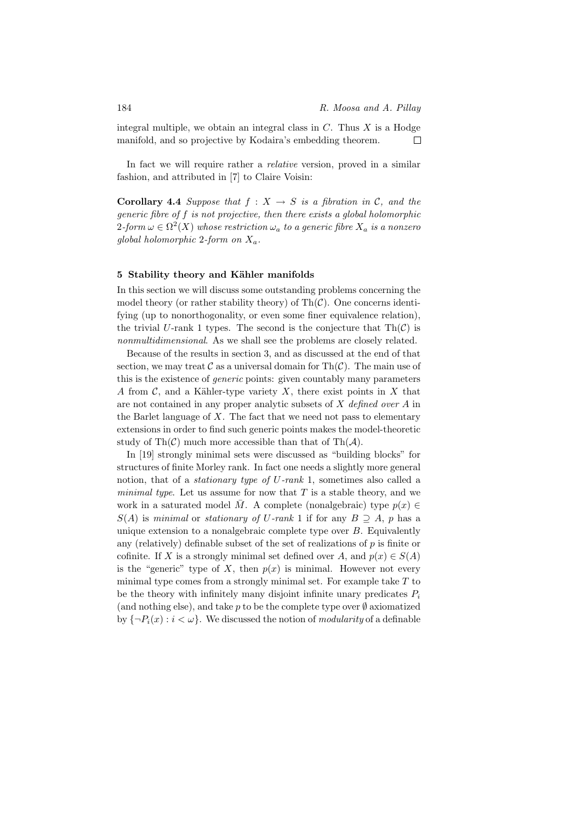integral multiple, we obtain an integral class in  $C$ . Thus  $X$  is a Hodge manifold, and so projective by Kodaira's embedding theorem.  $\Box$ 

In fact we will require rather a *relative* version, proved in a similar fashion, and attributed in [7] to Claire Voisin:

**Corollary 4.4** Suppose that  $f : X \rightarrow S$  is a fibration in C, and the generic fibre of f is not projective, then there exists a global holomorphic  $2$ -form  $\omega \in \Omega^2(X)$  whose restriction  $\omega_a$  to a generic fibre  $X_a$  is a nonzero global holomorphic 2-form on  $X_a$ .

# 5 Stability theory and Kähler manifolds

In this section we will discuss some outstanding problems concerning the model theory (or rather stability theory) of  $\text{Th}(\mathcal{C})$ . One concerns identifying (up to nonorthogonality, or even some finer equivalence relation), the trivial U-rank 1 types. The second is the conjecture that  $\text{Th}(\mathcal{C})$  is nonmultidimensional. As we shall see the problems are closely related.

Because of the results in section 3, and as discussed at the end of that section, we may treat  $\mathcal C$  as a universal domain for Th $(\mathcal C)$ . The main use of this is the existence of generic points: given countably many parameters A from C, and a Kähler-type variety X, there exist points in X that are not contained in any proper analytic subsets of X defined over A in the Barlet language of  $X$ . The fact that we need not pass to elementary extensions in order to find such generic points makes the model-theoretic study of Th $(\mathcal{C})$  much more accessible than that of Th $(\mathcal{A})$ .

In [19] strongly minimal sets were discussed as "building blocks" for structures of finite Morley rank. In fact one needs a slightly more general notion, that of a stationary type of U-rank 1, sometimes also called a minimal type. Let us assume for now that  $T$  is a stable theory, and we work in a saturated model  $\overline{M}$ . A complete (nonalgebraic) type  $p(x) \in$  $S(A)$  is minimal or stationary of U-rank 1 if for any  $B \supseteq A$ , p has a unique extension to a nonalgebraic complete type over  $B$ . Equivalently any (relatively) definable subset of the set of realizations of  $p$  is finite or cofinite. If X is a strongly minimal set defined over A, and  $p(x) \in S(A)$ is the "generic" type of X, then  $p(x)$  is minimal. However not every minimal type comes from a strongly minimal set. For example take  $T$  to be the theory with infinitely many disjoint infinite unary predicates  $P_i$ (and nothing else), and take p to be the complete type over  $\emptyset$  axiomatized by  $\{\neg P_i(x) : i < \omega\}$ . We discussed the notion of *modularity* of a definable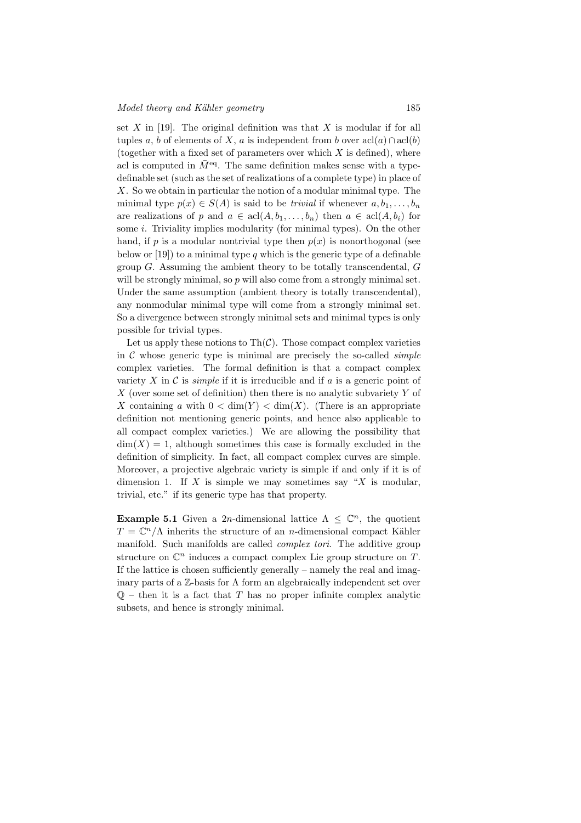set  $X$  in [19]. The original definition was that  $X$  is modular if for all tuples a, b of elements of X, a is independent from b over  $\operatorname{acl}(a) \cap \operatorname{acl}(b)$ (together with a fixed set of parameters over which  $X$  is defined), where acl is computed in  $\bar{M}^{\text{eq}}$ . The same definition makes sense with a typedefinable set (such as the set of realizations of a complete type) in place of X. So we obtain in particular the notion of a modular minimal type. The minimal type  $p(x) \in S(A)$  is said to be *trivial* if whenever  $a, b_1, \ldots, b_n$ are realizations of p and  $a \in \text{acl}(A, b_1, \ldots, b_n)$  then  $a \in \text{acl}(A, b_i)$  for some *i*. Triviality implies modularity (for minimal types). On the other hand, if p is a modular nontrivial type then  $p(x)$  is nonorthogonal (see below or [19]) to a minimal type q which is the generic type of a definable group  $G$ . Assuming the ambient theory to be totally transcendental,  $G$ will be strongly minimal, so p will also come from a strongly minimal set. Under the same assumption (ambient theory is totally transcendental), any nonmodular minimal type will come from a strongly minimal set. So a divergence between strongly minimal sets and minimal types is only possible for trivial types.

Let us apply these notions to  $\text{Th}(\mathcal{C})$ . Those compact complex varieties in  $\mathcal C$  whose generic type is minimal are precisely the so-called *simple* complex varieties. The formal definition is that a compact complex variety X in C is *simple* if it is irreducible and if a is a generic point of X (over some set of definition) then there is no analytic subvariety  $Y$  of X containing a with  $0 < \dim(Y) < \dim(X)$ . (There is an appropriate definition not mentioning generic points, and hence also applicable to all compact complex varieties.) We are allowing the possibility that  $\dim(X) = 1$ , although sometimes this case is formally excluded in the definition of simplicity. In fact, all compact complex curves are simple. Moreover, a projective algebraic variety is simple if and only if it is of dimension 1. If X is simple we may sometimes say "X is modular, trivial, etc." if its generic type has that property.

**Example 5.1** Given a 2n-dimensional lattice  $\Lambda \leq \mathbb{C}^n$ , the quotient  $T = \mathbb{C}^n/\Lambda$  inherits the structure of an *n*-dimensional compact Kähler manifold. Such manifolds are called complex tori. The additive group structure on  $\mathbb{C}^n$  induces a compact complex Lie group structure on T. If the lattice is chosen sufficiently generally – namely the real and imaginary parts of a  $\mathbb{Z}$ -basis for  $\Lambda$  form an algebraically independent set over  $\mathbb{Q}$  – then it is a fact that T has no proper infinite complex analytic subsets, and hence is strongly minimal.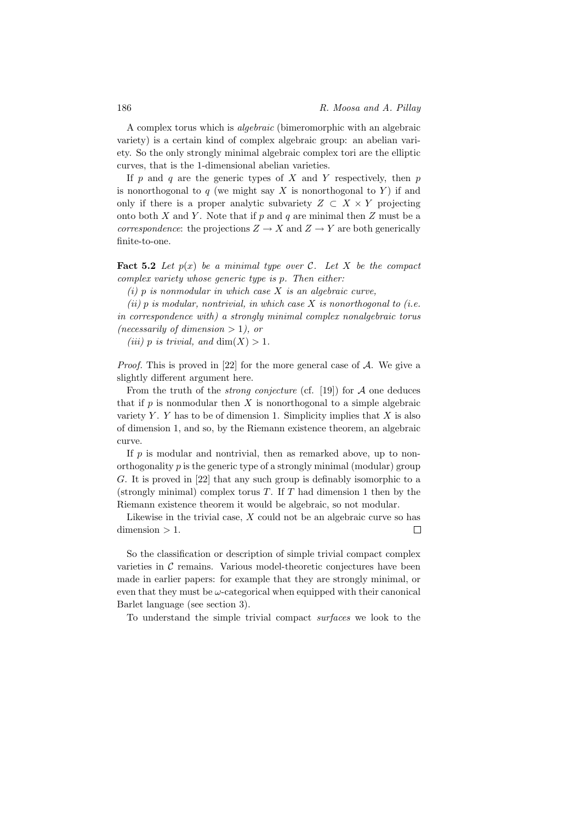A complex torus which is algebraic (bimeromorphic with an algebraic variety) is a certain kind of complex algebraic group: an abelian variety. So the only strongly minimal algebraic complex tori are the elliptic curves, that is the 1-dimensional abelian varieties.

If p and q are the generic types of X and Y respectively, then p is nonorthogonal to  $q$  (we might say X is nonorthogonal to Y) if and only if there is a proper analytic subvariety  $Z \subset X \times Y$  projecting onto both X and Y. Note that if p and q are minimal then Z must be a correspondence: the projections  $Z \to X$  and  $Z \to Y$  are both generically finite-to-one.

**Fact 5.2** Let  $p(x)$  be a minimal type over C. Let X be the compact complex variety whose generic type is p. Then either:

 $(i)$  p is nonmodular in which case  $X$  is an algebraic curve,

(ii)  $p$  is modular, nontrivial, in which case  $X$  is nonorthogonal to (i.e. in correspondence with) a strongly minimal complex nonalgebraic torus (necessarily of dimension  $> 1$ ), or

(iii) p is trivial, and  $\dim(X) > 1$ .

*Proof.* This is proved in [22] for the more general case of  $A$ . We give a slightly different argument here.

From the truth of the *strong conjecture* (cf. [19]) for  $A$  one deduces that if  $p$  is nonmodular then  $X$  is nonorthogonal to a simple algebraic variety Y. Y has to be of dimension 1. Simplicity implies that  $X$  is also of dimension 1, and so, by the Riemann existence theorem, an algebraic curve.

If  $p$  is modular and nontrivial, then as remarked above, up to nonorthogonality  $p$  is the generic type of a strongly minimal (modular) group G. It is proved in [22] that any such group is definably isomorphic to a (strongly minimal) complex torus  $T$ . If  $T$  had dimension 1 then by the Riemann existence theorem it would be algebraic, so not modular.

Likewise in the trivial case,  $X$  could not be an algebraic curve so has  $dimension > 1$ .  $\Box$ 

So the classification or description of simple trivial compact complex varieties in  $\mathcal C$  remains. Various model-theoretic conjectures have been made in earlier papers: for example that they are strongly minimal, or even that they must be  $\omega$ -categorical when equipped with their canonical Barlet language (see section 3).

To understand the simple trivial compact surfaces we look to the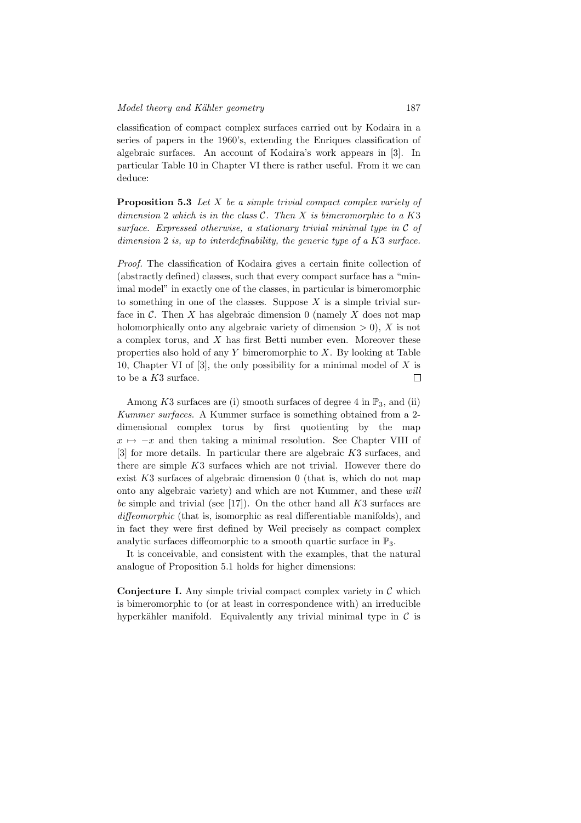classification of compact complex surfaces carried out by Kodaira in a series of papers in the 1960's, extending the Enriques classification of algebraic surfaces. An account of Kodaira's work appears in [3]. In particular Table 10 in Chapter VI there is rather useful. From it we can deduce:

Proposition 5.3 Let X be a simple trivial compact complex variety of dimension 2 which is in the class  $C$ . Then  $X$  is bimeromorphic to a  $K3$ surface. Expressed otherwise, a stationary trivial minimal type in  $\mathcal C$  of dimension 2 is, up to interdefinability, the generic type of a K3 surface.

Proof. The classification of Kodaira gives a certain finite collection of (abstractly defined) classes, such that every compact surface has a "minimal model" in exactly one of the classes, in particular is bimeromorphic to something in one of the classes. Suppose  $X$  is a simple trivial surface in  $\mathcal C$ . Then X has algebraic dimension 0 (namely X does not map holomorphically onto any algebraic variety of dimension  $> 0$ ), X is not a complex torus, and X has first Betti number even. Moreover these properties also hold of any  $Y$  bimeromorphic to  $X$ . By looking at Table 10, Chapter VI of  $[3]$ , the only possibility for a minimal model of X is to be a  $K3$  surface.  $\Box$ 

Among K3 surfaces are (i) smooth surfaces of degree 4 in  $\mathbb{P}_3$ , and (ii) Kummer surfaces. A Kummer surface is something obtained from a 2 dimensional complex torus by first quotienting by the map  $x \mapsto -x$  and then taking a minimal resolution. See Chapter VIII of [3] for more details. In particular there are algebraic K3 surfaces, and there are simple K3 surfaces which are not trivial. However there do exist  $K3$  surfaces of algebraic dimension 0 (that is, which do not map onto any algebraic variety) and which are not Kummer, and these will be simple and trivial (see [17]). On the other hand all  $K3$  surfaces are diffeomorphic (that is, isomorphic as real differentiable manifolds), and in fact they were first defined by Weil precisely as compact complex analytic surfaces diffeomorphic to a smooth quartic surface in  $\mathbb{P}_3$ .

It is conceivable, and consistent with the examples, that the natural analogue of Proposition 5.1 holds for higher dimensions:

**Conjecture I.** Any simple trivial compact complex variety in  $\mathcal{C}$  which is bimeromorphic to (or at least in correspondence with) an irreducible hyperkähler manifold. Equivalently any trivial minimal type in  $\mathcal C$  is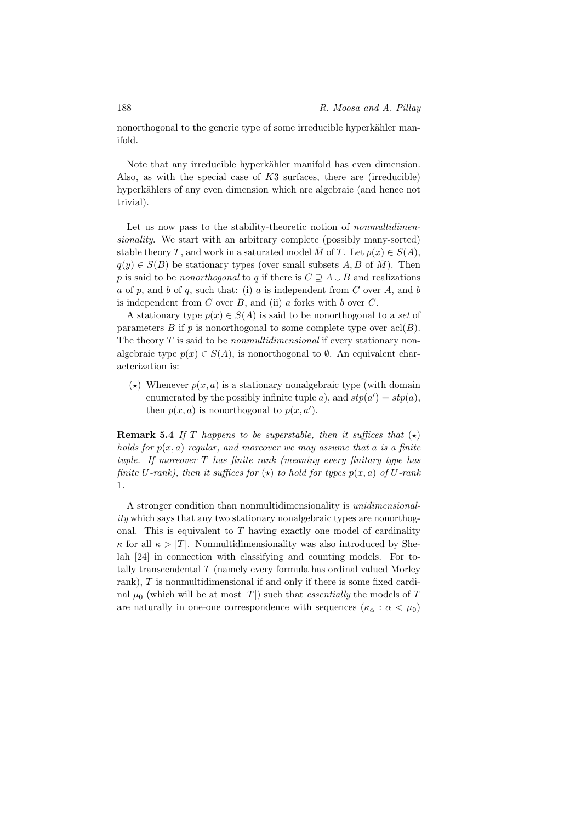nonorthogonal to the generic type of some irreducible hyperkähler manifold.

Note that any irreducible hyperkähler manifold has even dimension. Also, as with the special case of  $K3$  surfaces, there are (irreducible) hyperkählers of any even dimension which are algebraic (and hence not trivial).

Let us now pass to the stability-theoretic notion of *nonmultidimen*sionality. We start with an arbitrary complete (possibly many-sorted) stable theory T, and work in a saturated model  $\overline{M}$  of T. Let  $p(x) \in S(A)$ ,  $q(y) \in S(B)$  be stationary types (over small subsets A, B of  $\overline{M}$ ). Then p is said to be nonorthogonal to q if there is  $C \supseteq A \cup B$  and realizations a of p, and b of q, such that: (i) a is independent from C over A, and b is independent from  $C$  over  $B$ , and (ii)  $a$  forks with  $b$  over  $C$ .

A stationary type  $p(x) \in S(A)$  is said to be nonorthogonal to a set of parameters B if p is nonorthogonal to some complete type over  $\text{acl}(B)$ . The theory  $T$  is said to be *nonmultidimensional* if every stationary nonalgebraic type  $p(x) \in S(A)$ , is nonorthogonal to  $\emptyset$ . An equivalent characterization is:

( $\star$ ) Whenever  $p(x, a)$  is a stationary nonalgebraic type (with domain enumerated by the possibly infinite tuple a), and  $stp(a') = stp(a)$ , then  $p(x, a)$  is nonorthogonal to  $p(x, a')$ .

**Remark 5.4** If T happens to be superstable, then it suffices that  $(\star)$ holds for  $p(x, a)$  regular, and moreover we may assume that a is a finite tuple. If moreover  $T$  has finite rank (meaning every finitary type has finite U-rank), then it suffices for  $(\star)$  to hold for types  $p(x, a)$  of U-rank 1.

A stronger condition than nonmultidimensionality is unidimensionality which says that any two stationary nonalgebraic types are nonorthogonal. This is equivalent to  $T$  having exactly one model of cardinality  $\kappa$  for all  $\kappa > |T|$ . Nonmultidimensionality was also introduced by Shelah [24] in connection with classifying and counting models. For totally transcendental T (namely every formula has ordinal valued Morley rank), T is nonmultidimensional if and only if there is some fixed cardinal  $\mu_0$  (which will be at most  $|T|$ ) such that *essentially* the models of T are naturally in one-one correspondence with sequences  $(\kappa_{\alpha} : \alpha < \mu_0)$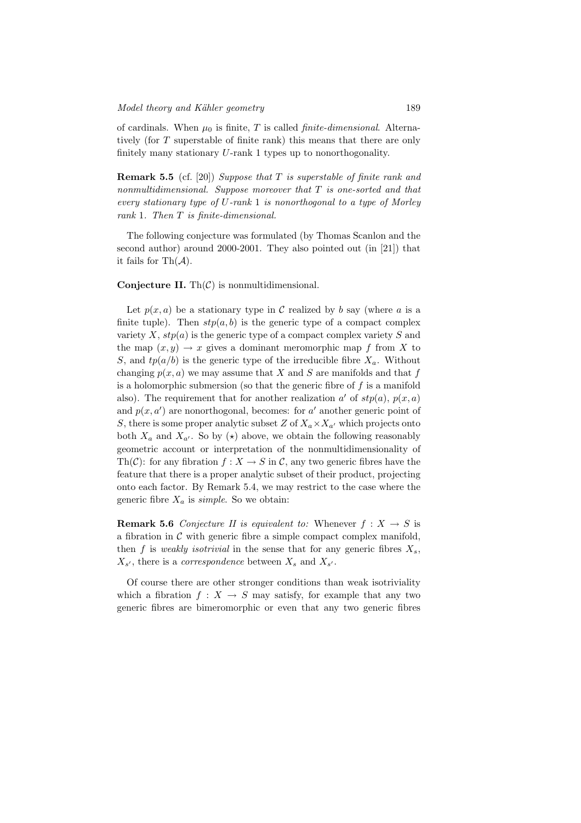of cardinals. When  $\mu_0$  is finite, T is called *finite-dimensional*. Alternatively (for T superstable of finite rank) this means that there are only finitely many stationary U-rank 1 types up to nonorthogonality.

**Remark 5.5** (cf. [20]) Suppose that T is superstable of finite rank and nonmultidimensional. Suppose moreover that  $T$  is one-sorted and that every stationary type of U-rank 1 is nonorthogonal to a type of Morley rank 1. Then T is finite-dimensional.

The following conjecture was formulated (by Thomas Scanlon and the second author) around 2000-2001. They also pointed out (in [21]) that it fails for  $\text{Th}(\mathcal{A})$ .

## **Conjecture II.** Th $(\mathcal{C})$  is nonmultidimensional.

Let  $p(x, a)$  be a stationary type in C realized by b say (where a is a finite tuple). Then  $stp(a, b)$  is the generic type of a compact complex variety X,  $stp(a)$  is the generic type of a compact complex variety S and the map  $(x, y) \rightarrow x$  gives a dominant meromorphic map f from X to S, and  $tp(a/b)$  is the generic type of the irreducible fibre  $X_a$ . Without changing  $p(x, a)$  we may assume that X and S are manifolds and that f is a holomorphic submersion (so that the generic fibre of  $f$  is a manifold also). The requirement that for another realization  $a'$  of  $stp(a)$ ,  $p(x, a)$ and  $p(x, a')$  are nonorthogonal, becomes: for a' another generic point of S, there is some proper analytic subset Z of  $X_a \times X_{a'}$  which projects onto both  $X_a$  and  $X_{a'}$ . So by  $(\star)$  above, we obtain the following reasonably geometric account or interpretation of the nonmultidimensionality of Th(C): for any fibration  $f: X \to S$  in C, any two generic fibres have the feature that there is a proper analytic subset of their product, projecting onto each factor. By Remark 5.4, we may restrict to the case where the generic fibre  $X_a$  is *simple*. So we obtain:

**Remark 5.6** Conjecture II is equivalent to: Whenever  $f : X \to S$  is a fibration in  $\mathcal C$  with generic fibre a simple compact complex manifold, then f is weakly isotrivial in the sense that for any generic fibres  $X_s$ ,  $X_{s'}$ , there is a *correspondence* between  $X_s$  and  $X_{s'}$ .

Of course there are other stronger conditions than weak isotriviality which a fibration  $f: X \to S$  may satisfy, for example that any two generic fibres are bimeromorphic or even that any two generic fibres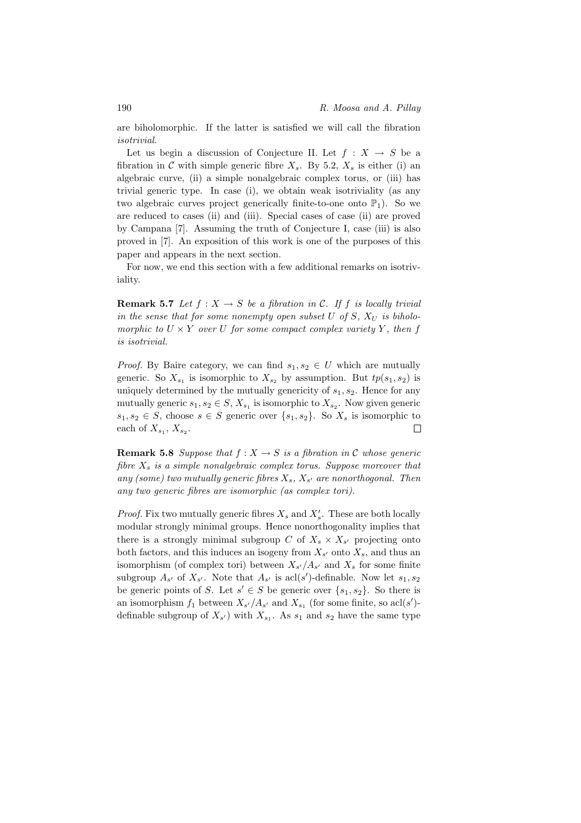are biholomorphic. If the latter is satisfied we will call the fibration isotrivial.

Let us begin a discussion of Conjecture II. Let  $f: X \rightarrow S$  be a fibration in C with simple generic fibre  $X_s$ . By 5.2,  $X_s$  is either (i) an algebraic curve, (ii) a simple nonalgebraic complex torus, or (iii) has trivial generic type. In case (i), we obtain weak isotriviality (as any two algebraic curves project generically finite-to-one onto  $\mathbb{P}_1$ ). So we are reduced to cases (ii) and (iii). Special cases of case (ii) are proved by Campana [7]. Assuming the truth of Conjecture I, case (iii) is also proved in [7]. An exposition of this work is one of the purposes of this paper and appears in the next section.

For now, we end this section with a few additional remarks on isotriviality.

**Remark 5.7** Let  $f : X \to S$  be a fibration in C. If f is locally trivial in the sense that for some nonempty open subset U of S,  $X_U$  is biholomorphic to  $U \times Y$  over U for some compact complex variety Y, then f is isotrivial.

*Proof.* By Baire category, we can find  $s_1, s_2 \in U$  which are mutually generic. So  $X_{s_1}$  is isomorphic to  $X_{s_2}$  by assumption. But  $tp(s_1, s_2)$  is uniquely determined by the mutually genericity of  $s_1, s_2$ . Hence for any mutually generic  $s_1, s_2 \in S$ ,  $X_{s_1}$  is isomorphic to  $X_{s_2}$ . Now given generic  $s_1, s_2 \in S$ , choose  $s \in S$  generic over  $\{s_1, s_2\}$ . So  $X_s$  is isomorphic to each of  $X_{s_1}, X_{s_2}$ .  $\Box$ 

**Remark 5.8** Suppose that  $f : X \to S$  is a fibration in C whose generic fibre  $X_s$  is a simple nonalgebraic complex torus. Suppose moreover that any (some) two mutually generic fibres  $X_s$ ,  $X_{s'}$  are nonorthogonal. Then any two generic fibres are isomorphic (as complex tori).

*Proof.* Fix two mutually generic fibres  $X_s$  and  $X'_s$ . These are both locally modular strongly minimal groups. Hence nonorthogonality implies that there is a strongly minimal subgroup C of  $X_s \times X_{s'}$  projecting onto both factors, and this induces an isogeny from  $X_{s'}$  onto  $X_s$ , and thus an isomorphism (of complex tori) between  $X_{s'}/A_{s'}$  and  $X_s$  for some finite subgroup  $A_{s'}$  of  $X_{s'}$ . Note that  $A_{s'}$  is acl(s')-definable. Now let  $s_1, s_2$ be generic points of S. Let  $s' \in S$  be generic over  $\{s_1, s_2\}$ . So there is an isomorphism  $f_1$  between  $X_{s'}/A_{s'}$  and  $X_{s_1}$  (for some finite, so acl(s')definable subgroup of  $X_{s'}$ ) with  $X_{s_1}$ . As  $s_1$  and  $s_2$  have the same type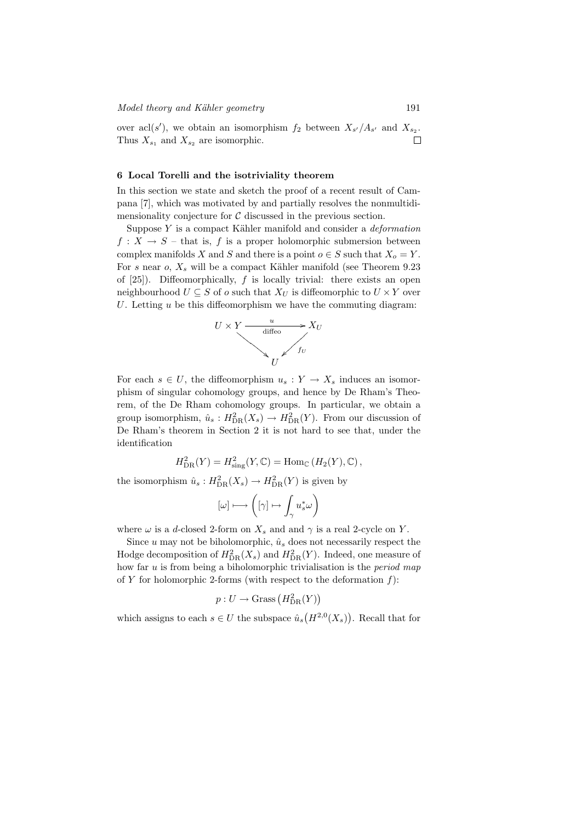over acl(s'), we obtain an isomorphism  $f_2$  between  $X_{s'}/A_{s'}$  and  $X_{s_2}$ . Thus  $X_{s_1}$  and  $X_{s_2}$  are isomorphic.

# 6 Local Torelli and the isotriviality theorem

In this section we state and sketch the proof of a recent result of Campana [7], which was motivated by and partially resolves the nonmultidimensionality conjecture for  $\mathcal C$  discussed in the previous section.

Suppose  $Y$  is a compact Kähler manifold and consider a *deformation*  $f: X \to S$  – that is, f is a proper holomorphic submersion between complex manifolds X and S and there is a point  $o \in S$  such that  $X_o = Y$ . For s near  $o, X_s$  will be a compact Kähler manifold (see Theorem 9.23) of  $[25]$ . Diffeomorphically, f is locally trivial: there exists an open neighbourhood  $U \subseteq S$  of  $o$  such that  $X_U$  is diffeomorphic to  $U \times Y$  over U. Letting  $u$  be this diffeomorphism we have the commuting diagram:



For each  $s \in U$ , the diffeomorphism  $u_s : Y \to X_s$  induces an isomorphism of singular cohomology groups, and hence by De Rham's Theorem, of the De Rham cohomology groups. In particular, we obtain a group isomorphism,  $\hat{u}_s : H^2_{DR}(X_s) \to H^2_{DR}(Y)$ . From our discussion of De Rham's theorem in Section 2 it is not hard to see that, under the identification

$$
H^2_{\text{DR}}(Y) = H^2_{\text{sing}}(Y, \mathbb{C}) = \text{Hom}_{\mathbb{C}}\left(H_2(Y), \mathbb{C}\right),
$$

the isomorphism  $\hat{u}_s: H^2_{DR}(X_s) \to H^2_{DR}(Y)$  is given by

$$
[\omega]\longmapsto \left([\gamma]\mapsto \int_{\gamma}u_s^*\omega\right)
$$

where  $\omega$  is a d-closed 2-form on  $X_s$  and and  $\gamma$  is a real 2-cycle on Y.

Since u may not be biholomorphic,  $\hat{u}_s$  does not necessarily respect the Hodge decomposition of  $H^2_{DR}(X_s)$  and  $H^2_{DR}(Y)$ . Indeed, one measure of how far  $u$  is from being a biholomorphic trivialisation is the *period map* of Y for holomorphic 2-forms (with respect to the deformation  $f$ ):

$$
p: U \to \mathbf{Grass}\left(H^2_{\mathrm{DR}}(Y)\right)
$$

which assigns to each  $s \in U$  the subspace  $\hat{u}_s(H^{2,0}(X_s))$ . Recall that for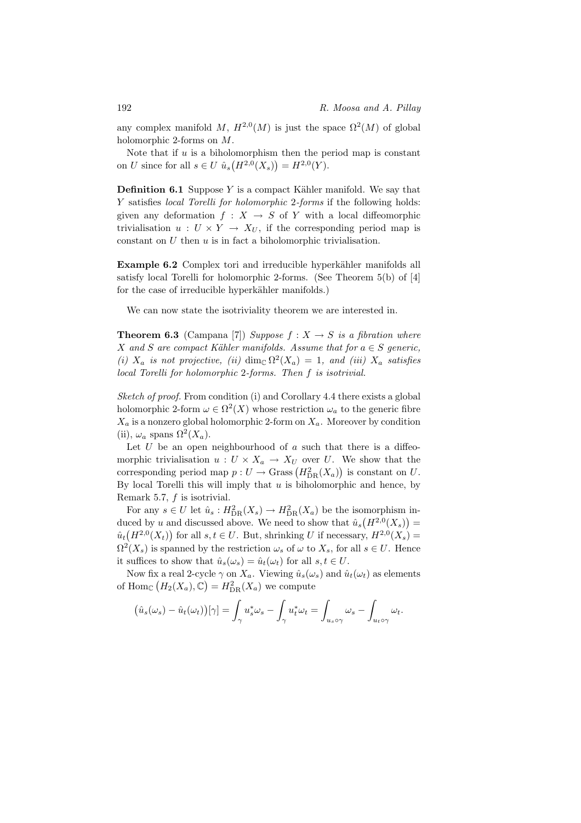any complex manifold M,  $H^{2,0}(M)$  is just the space  $\Omega^2(M)$  of global holomorphic 2-forms on M.

Note that if  $u$  is a biholomorphism then the period map is constant on U since for all  $s \in U \hat{u}_s(H^{2,0}(X_s)) = H^{2,0}(Y)$ .

**Definition 6.1** Suppose Y is a compact Kähler manifold. We say that Y satisfies local Torelli for holomorphic 2-forms if the following holds: given any deformation  $f : X \to S$  of Y with a local diffeomorphic trivialisation  $u: U \times Y \to X_U$ , if the corresponding period map is constant on  $U$  then  $u$  is in fact a biholomorphic trivialisation.

Example 6.2 Complex tori and irreducible hyperkähler manifolds all satisfy local Torelli for holomorphic 2-forms. (See Theorem 5(b) of [4] for the case of irreducible hyperkähler manifolds.)

We can now state the isotriviality theorem we are interested in.

**Theorem 6.3** (Campana [7]) Suppose  $f : X \rightarrow S$  is a fibration where X and S are compact Kähler manifolds. Assume that for  $a \in S$  generic, (i)  $X_a$  is not projective, (ii) dim<sub>C</sub>  $\Omega^2(X_a) = 1$ , and (iii)  $X_a$  satisfies local Torelli for holomorphic 2-forms. Then f is isotrivial.

Sketch of proof. From condition (i) and Corollary 4.4 there exists a global holomorphic 2-form  $\omega \in \Omega^2(X)$  whose restriction  $\omega_a$  to the generic fibre  $X_a$  is a nonzero global holomorphic 2-form on  $X_a$ . Moreover by condition (ii),  $\omega_a$  spans  $\Omega^2(X_a)$ .

Let  $U$  be an open neighbourhood of  $\alpha$  such that there is a diffeomorphic trivialisation  $u: U \times X_a \to X_U$  over U. We show that the corresponding period map  $p: U \to \text{Grass}(H_{\text{DR}}^2(X_a))$  is constant on U. By local Torelli this will imply that  $u$  is biholomorphic and hence, by Remark 5.7, f is isotrivial.

For any  $s \in U$  let  $\hat{u}_s : H^2_{DR}(X_s) \to H^2_{DR}(X_a)$  be the isomorphism induced by u and discussed above. We need to show that  $\hat{u}_s(H^{2,0}(X_s)) =$  $\hat{u}_t(H^{2,0}(X_t))$  for all  $s,t \in U$ . But, shrinking U if necessary,  $H^{2,0}(X_s)$  =  $\Omega^2(X_s)$  is spanned by the restriction  $\omega_s$  of  $\omega$  to  $X_s$ , for all  $s \in U$ . Hence it suffices to show that  $\hat{u}_s(\omega_s) = \hat{u}_t(\omega_t)$  for all  $s, t \in U$ .

Now fix a real 2-cycle  $\gamma$  on  $X_a$ . Viewing  $\hat{u}_s(\omega_s)$  and  $\hat{u}_t(\omega_t)$  as elements of Hom<sub>C</sub>  $(H_2(X_a), \mathbb{C}) = H_{DR}^2(X_a)$  we compute

$$
(\hat{u}_s(\omega_s) - \hat{u}_t(\omega_t))[\gamma] = \int_{\gamma} u_s^* \omega_s - \int_{\gamma} u_t^* \omega_t = \int_{u_s \circ \gamma} \omega_s - \int_{u_t \circ \gamma} \omega_t.
$$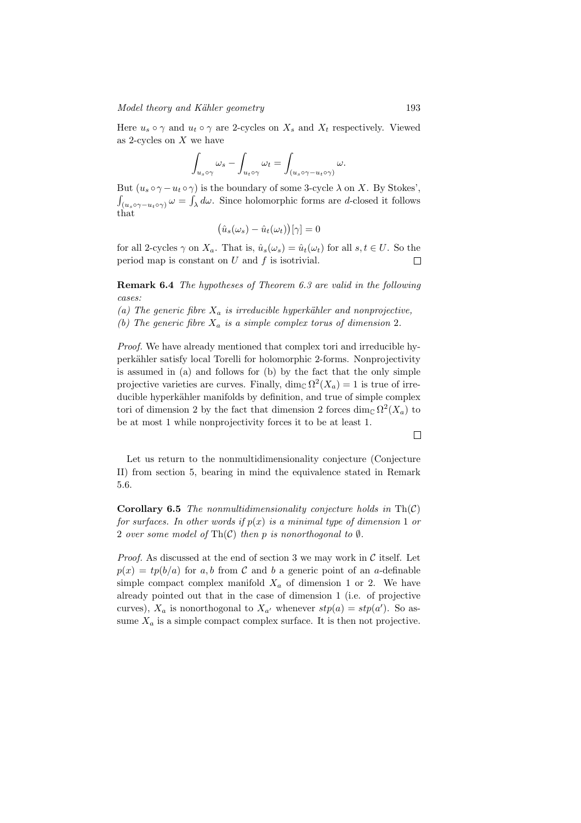Here  $u_s \circ \gamma$  and  $u_t \circ \gamma$  are 2-cycles on  $X_s$  and  $X_t$  respectively. Viewed as 2-cycles on  $X$  we have

$$
\int_{u_s \circ \gamma} \omega_s - \int_{u_t \circ \gamma} \omega_t = \int_{(u_s \circ \gamma - u_t \circ \gamma)} \omega.
$$

But  $(u_s \circ \gamma - u_t \circ \gamma)$  is the boundary of some 3-cycle  $\lambda$  on X. By Stokes',  $\int_{(u_s \circ \gamma - u_t \circ \gamma)} \omega = \int_{\lambda} d\omega$ . Since holomorphic forms are d-closed it follows that

$$
(\hat{u}_s(\omega_s) - \hat{u}_t(\omega_t))[\gamma] = 0
$$

for all 2-cycles  $\gamma$  on  $X_a$ . That is,  $\hat{u}_s(\omega_s) = \hat{u}_t(\omega_t)$  for all  $s, t \in U$ . So the period map is constant on  $U$  and  $f$  is isotrivial.  $\Box$ 

Remark 6.4 The hypotheses of Theorem 6.3 are valid in the following cases:

(a) The generic fibre  $X_a$  is irreducible hyperkähler and nonprojective,

(b) The generic fibre  $X_a$  is a simple complex torus of dimension 2.

Proof. We have already mentioned that complex tori and irreducible hyperkähler satisfy local Torelli for holomorphic 2-forms. Nonprojectivity is assumed in (a) and follows for (b) by the fact that the only simple projective varieties are curves. Finally,  $\dim_{\mathbb{C}} \Omega^2(X_a) = 1$  is true of irreducible hyperkähler manifolds by definition, and true of simple complex tori of dimension 2 by the fact that dimension 2 forces  $\dim_{\mathbb{C}} \Omega^2(X_a)$  to be at most 1 while nonprojectivity forces it to be at least 1.

 $\Box$ 

Let us return to the nonmultidimensionality conjecture (Conjecture II) from section 5, bearing in mind the equivalence stated in Remark 5.6.

**Corollary 6.5** The nonmultidimensionality conjecture holds in  $\text{Th}(\mathcal{C})$ for surfaces. In other words if  $p(x)$  is a minimal type of dimension 1 or 2 over some model of Th $(C)$  then p is nonorthogonal to  $\emptyset$ .

*Proof.* As discussed at the end of section 3 we may work in  $C$  itself. Let  $p(x) = tp(b/a)$  for a, b from C and b a generic point of an a-definable simple compact complex manifold  $X_a$  of dimension 1 or 2. We have already pointed out that in the case of dimension 1 (i.e. of projective curves),  $X_a$  is nonorthogonal to  $X_{a'}$  whenever  $stp(a) = stp(a')$ . So assume  $X_a$  is a simple compact complex surface. It is then not projective.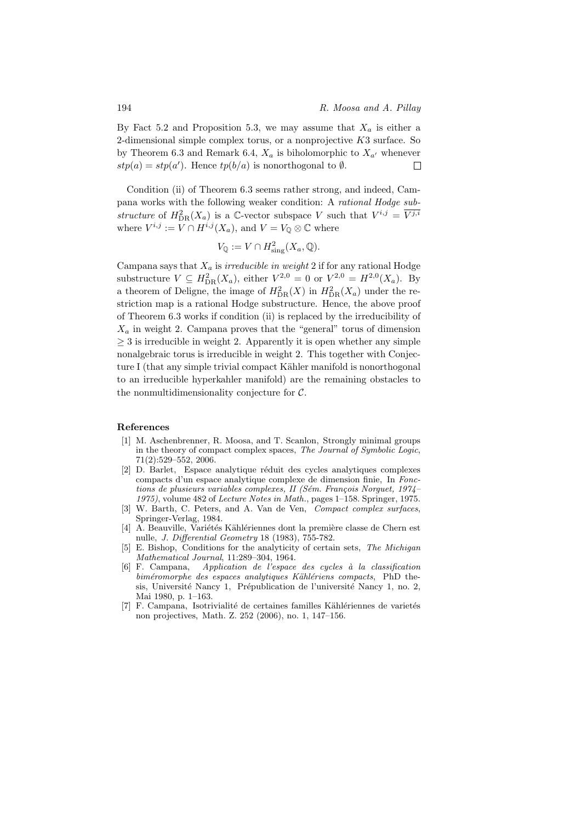By Fact 5.2 and Proposition 5.3, we may assume that  $X_a$  is either a 2-dimensional simple complex torus, or a nonprojective  $K3$  surface. So by Theorem 6.3 and Remark 6.4,  $X_a$  is biholomorphic to  $X_{a'}$  whenever  $stp(a) = stp(a')$ . Hence  $tp(b/a)$  is nonorthogonal to  $\emptyset$ .  $\Box$ 

Condition (ii) of Theorem 6.3 seems rather strong, and indeed, Campana works with the following weaker condition: A rational Hodge substructure of  $H_{\text{DR}}^2(X_a)$  is a C-vector subspace V such that  $V^{i,j} = \overline{V^{j,i}}$ where  $V^{i,j} := V \cap H^{i,j}(X_a)$ , and  $V = V_{\mathbb{Q}} \otimes \mathbb{C}$  where

$$
V_{\mathbb{Q}} := V \cap H^2_{\text{sing}}(X_a, \mathbb{Q}).
$$

Campana says that  $X_a$  is *irreducible in weight* 2 if for any rational Hodge substructure  $V \subseteq H_{DR}^2(X_a)$ , either  $V^{2,0} = 0$  or  $V^{2,0} = H^{2,0}(X_a)$ . By a theorem of Deligne, the image of  $H_{\text{DR}}^2(X)$  in  $H_{\text{DR}}^2(X_a)$  under the restriction map is a rational Hodge substructure. Hence, the above proof of Theorem 6.3 works if condition (ii) is replaced by the irreducibility of  $X_a$  in weight 2. Campana proves that the "general" torus of dimension  $\geq$  3 is irreducible in weight 2. Apparently it is open whether any simple nonalgebraic torus is irreducible in weight 2. This together with Conjecture I (that any simple trivial compact Kähler manifold is nonorthogonal to an irreducible hyperkahler manifold) are the remaining obstacles to the nonmultidimensionality conjecture for  $C$ .

#### References

- [1] M. Aschenbrenner, R. Moosa, and T. Scanlon, Strongly minimal groups in the theory of compact complex spaces, The Journal of Symbolic Logic, 71(2):529–552, 2006.
- [2] D. Barlet, Espace analytique réduit des cycles analytiques complexes compacts d'un espace analytique complexe de dimension finie, In Fonctions de plusieurs variables complexes, II (Sém. François Norguet, 1974– 1975), volume 482 of Lecture Notes in Math., pages 1–158. Springer, 1975.
- [3] W. Barth, C. Peters, and A. Van de Ven, *Compact complex surfaces*, Springer-Verlag, 1984.
- [4] A. Beauville, Variétés Kählériennes dont la première classe de Chern est nulle, J. Differential Geometry 18 (1983), 755-782.
- [5] E. Bishop, Conditions for the analyticity of certain sets, The Michigan Mathematical Journal, 11:289–304, 1964.
- [6] F. Campana, Application de l'espace des cycles à la classification biméromorphe des espaces analytiques Kählériens compacts, PhD thesis, Université Nancy 1, Prépublication de l'université Nancy 1, no. 2, Mai 1980, p. 1–163.
- [7] F. Campana, Isotrivialité de certaines familles Kählériennes de varietés non projectives, Math. Z. 252 (2006), no. 1, 147–156.